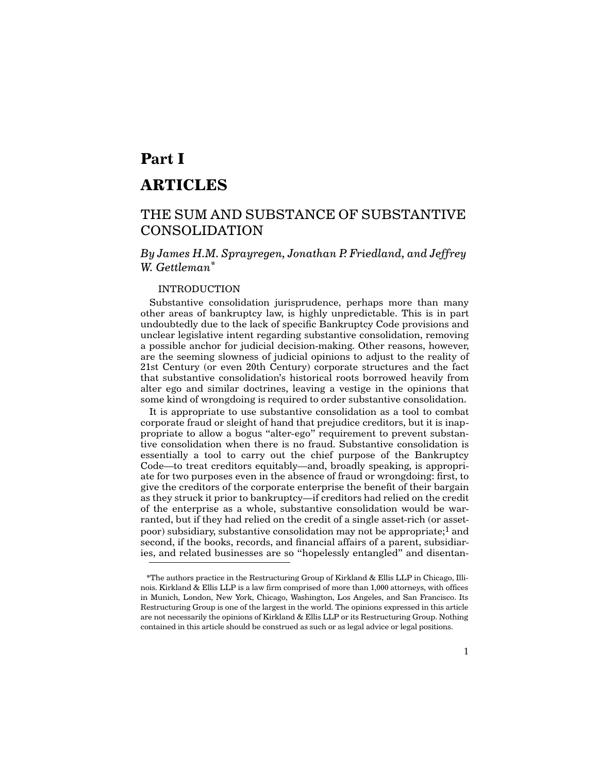# **Part I ARTICLES**

## THE SUM AND SUBSTANCE OF SUBSTANTIVE CONSOLIDATION

*By James H.M. Sprayregen, Jonathan P. Friedland, and Jeffrey W. Gettleman\**

## INTRODUCTION

Substantive consolidation jurisprudence, perhaps more than many other areas of bankruptcy law, is highly unpredictable. This is in part undoubtedly due to the lack of specific Bankruptcy Code provisions and unclear legislative intent regarding substantive consolidation, removing a possible anchor for judicial decision-making. Other reasons, however, are the seeming slowness of judicial opinions to adjust to the reality of 21st Century (or even 20th Century) corporate structures and the fact that substantive consolidation's historical roots borrowed heavily from alter ego and similar doctrines, leaving a vestige in the opinions that some kind of wrongdoing is required to order substantive consolidation.

It is appropriate to use substantive consolidation as a tool to combat corporate fraud or sleight of hand that prejudice creditors, but it is inappropriate to allow a bogus "alter-ego" requirement to prevent substantive consolidation when there is no fraud. Substantive consolidation is essentially a tool to carry out the chief purpose of the Bankruptcy Code—to treat creditors equitably—and, broadly speaking, is appropriate for two purposes even in the absence of fraud or wrongdoing: first, to give the creditors of the corporate enterprise the benefit of their bargain as they struck it prior to bankruptcy—if creditors had relied on the credit of the enterprise as a whole, substantive consolidation would be warranted, but if they had relied on the credit of a single asset-rich (or assetpoor) subsidiary, substantive consolidation may not be appropriate;1 and second, if the books, records, and financial affairs of a parent, subsidiaries, and related businesses are so "hopelessly entangled" and disentan-

<sup>\*</sup>The authors practice in the Restructuring Group of Kirkland & Ellis LLP in Chicago, Illinois. Kirkland & Ellis LLP is a law firm comprised of more than 1,000 attorneys, with offices in Munich, London, New York, Chicago, Washington, Los Angeles, and San Francisco. Its Restructuring Group is one of the largest in the world. The opinions expressed in this article are not necessarily the opinions of Kirkland & Ellis LLP or its Restructuring Group. Nothing contained in this article should be construed as such or as legal advice or legal positions.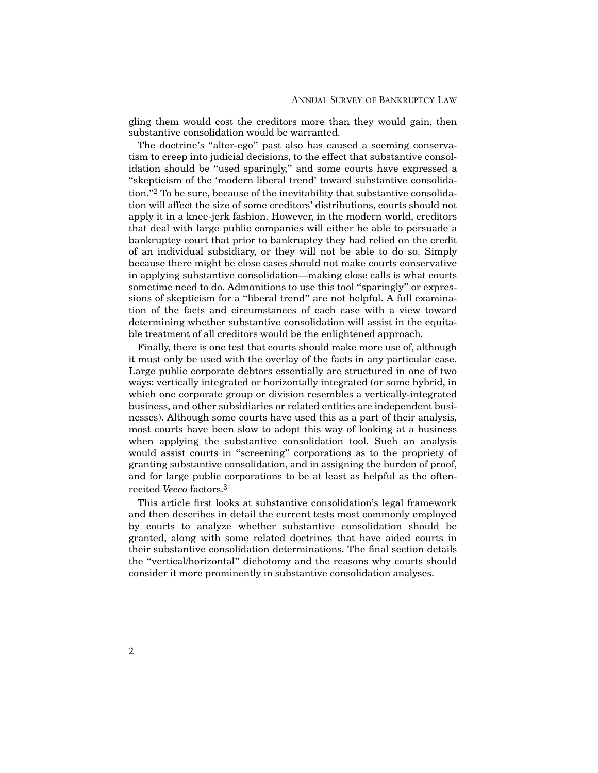gling them would cost the creditors more than they would gain, then substantive consolidation would be warranted.

The doctrine's "alter-ego" past also has caused a seeming conservatism to creep into judicial decisions, to the effect that substantive consolidation should be "used sparingly," and some courts have expressed a "skepticism of the 'modern liberal trend' toward substantive consolidation."2 To be sure, because of the inevitability that substantive consolidation will affect the size of some creditors' distributions, courts should not apply it in a knee-jerk fashion. However, in the modern world, creditors that deal with large public companies will either be able to persuade a bankruptcy court that prior to bankruptcy they had relied on the credit of an individual subsidiary, or they will not be able to do so. Simply because there might be close cases should not make courts conservative in applying substantive consolidation—making close calls is what courts sometime need to do. Admonitions to use this tool "sparingly" or expressions of skepticism for a "liberal trend" are not helpful. A full examination of the facts and circumstances of each case with a view toward determining whether substantive consolidation will assist in the equitable treatment of all creditors would be the enlightened approach.

Finally, there is one test that courts should make more use of, although it must only be used with the overlay of the facts in any particular case. Large public corporate debtors essentially are structured in one of two ways: vertically integrated or horizontally integrated (or some hybrid, in which one corporate group or division resembles a vertically-integrated business, and other subsidiaries or related entities are independent businesses). Although some courts have used this as a part of their analysis, most courts have been slow to adopt this way of looking at a business when applying the substantive consolidation tool. Such an analysis would assist courts in "screening" corporations as to the propriety of granting substantive consolidation, and in assigning the burden of proof, and for large public corporations to be at least as helpful as the oftenrecited *Vecco* factors.3

This article first looks at substantive consolidation's legal framework and then describes in detail the current tests most commonly employed by courts to analyze whether substantive consolidation should be granted, along with some related doctrines that have aided courts in their substantive consolidation determinations. The final section details the "vertical/horizontal" dichotomy and the reasons why courts should consider it more prominently in substantive consolidation analyses.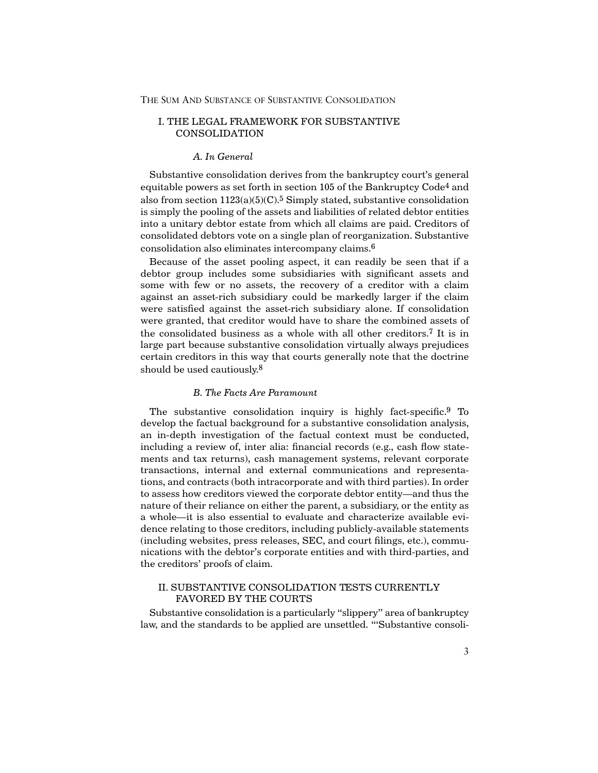## I. THE LEGAL FRAMEWORK FOR SUBSTANTIVE CONSOLIDATION

#### *A. In General*

Substantive consolidation derives from the bankruptcy court's general equitable powers as set forth in section 105 of the Bankruptcy Code<sup>4</sup> and also from section  $1123(a)(5)(C)$ .<sup>5</sup> Simply stated, substantive consolidation is simply the pooling of the assets and liabilities of related debtor entities into a unitary debtor estate from which all claims are paid. Creditors of consolidated debtors vote on a single plan of reorganization. Substantive consolidation also eliminates intercompany claims.6

Because of the asset pooling aspect, it can readily be seen that if a debtor group includes some subsidiaries with significant assets and some with few or no assets, the recovery of a creditor with a claim against an asset-rich subsidiary could be markedly larger if the claim were satisfied against the asset-rich subsidiary alone. If consolidation were granted, that creditor would have to share the combined assets of the consolidated business as a whole with all other creditors.7 It is in large part because substantive consolidation virtually always prejudices certain creditors in this way that courts generally note that the doctrine should be used cautiously.8

#### *B. The Facts Are Paramount*

The substantive consolidation inquiry is highly fact-specific.9 To develop the factual background for a substantive consolidation analysis, an in-depth investigation of the factual context must be conducted, including a review of, inter alia: financial records (e.g., cash flow statements and tax returns), cash management systems, relevant corporate transactions, internal and external communications and representations, and contracts (both intracorporate and with third parties). In order to assess how creditors viewed the corporate debtor entity—and thus the nature of their reliance on either the parent, a subsidiary, or the entity as a whole—it is also essential to evaluate and characterize available evidence relating to those creditors, including publicly-available statements (including websites, press releases, SEC, and court filings, etc.), communications with the debtor's corporate entities and with third-parties, and the creditors' proofs of claim.

## II. SUBSTANTIVE CONSOLIDATION TESTS CURRENTLY FAVORED BY THE COURTS

Substantive consolidation is a particularly "slippery" area of bankruptcy law, and the standards to be applied are unsettled. "'Substantive consoli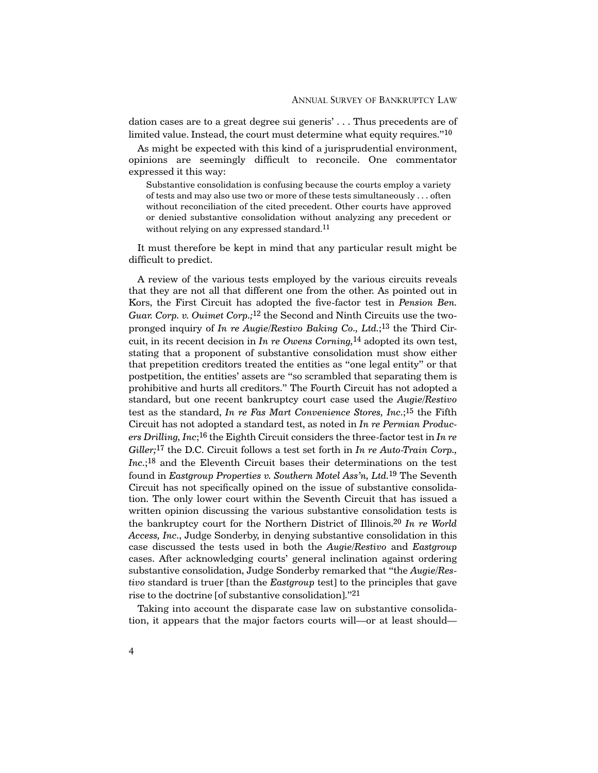dation cases are to a great degree sui generis' . . . Thus precedents are of limited value. Instead, the court must determine what equity requires."<sup>10</sup>

As might be expected with this kind of a jurisprudential environment, opinions are seemingly difficult to reconcile. One commentator expressed it this way:

Substantive consolidation is confusing because the courts employ a variety of tests and may also use two or more of these tests simultaneously . . . often without reconciliation of the cited precedent. Other courts have approved or denied substantive consolidation without analyzing any precedent or without relying on any expressed standard.<sup>11</sup>

It must therefore be kept in mind that any particular result might be difficult to predict.

A review of the various tests employed by the various circuits reveals that they are not all that different one from the other. As pointed out in Kors, the First Circuit has adopted the five-factor test in *Pension Ben. Guar. Corp. v. Ouimet Corp.;*12 the Second and Ninth Circuits use the twopronged inquiry of *In re Augie/Restivo Baking Co., Ltd.*;13 the Third Circuit, in its recent decision in *In re Owens Corning,*14 adopted its own test, stating that a proponent of substantive consolidation must show either that prepetition creditors treated the entities as "one legal entity" or that postpetition, the entities' assets are "so scrambled that separating them is prohibitive and hurts all creditors." The Fourth Circuit has not adopted a standard, but one recent bankruptcy court case used the *Augie/Restivo* test as the standard, *In re Fas Mart Convenience Stores, Inc.*;15 the Fifth Circuit has not adopted a standard test, as noted in *In re Permian Producers Drilling, Inc*;16 the Eighth Circuit considers the three-factor test in *In re Giller;*17 the D.C. Circuit follows a test set forth in *In re Auto-Train Corp., Inc.*;18 and the Eleventh Circuit bases their determinations on the test found in *Eastgroup Properties v. Southern Motel Ass'n, Ltd.*19 The Seventh Circuit has not specifically opined on the issue of substantive consolidation. The only lower court within the Seventh Circuit that has issued a written opinion discussing the various substantive consolidation tests is the bankruptcy court for the Northern District of Illinois.20 *In re World Access, Inc.*, Judge Sonderby, in denying substantive consolidation in this case discussed the tests used in both the *Augie/Restivo* and *Eastgroup* cases. After acknowledging courts' general inclination against ordering substantive consolidation, Judge Sonderby remarked that "the *Augie/Restivo* standard is truer [than the *Eastgroup* test] to the principles that gave rise to the doctrine [of substantive consolidation]."21

Taking into account the disparate case law on substantive consolidation, it appears that the major factors courts will—or at least should—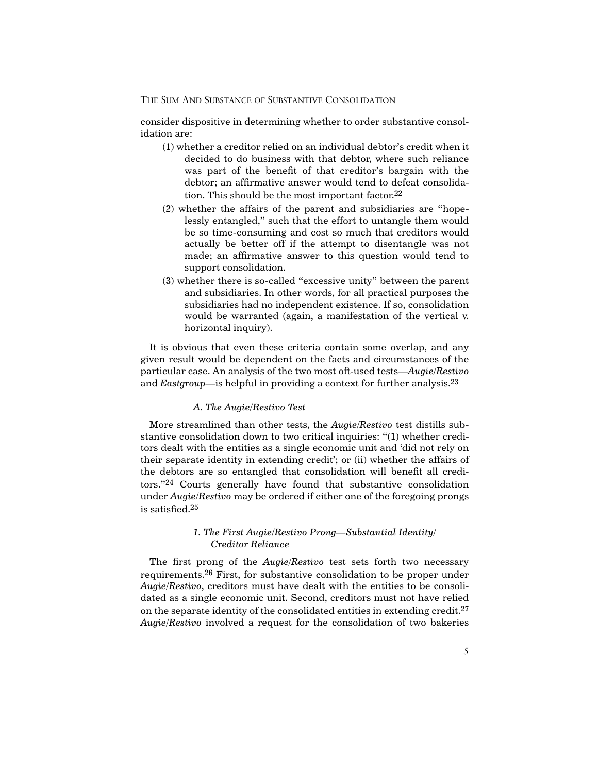consider dispositive in determining whether to order substantive consolidation are:

- (1) whether a creditor relied on an individual debtor's credit when it decided to do business with that debtor, where such reliance was part of the benefit of that creditor's bargain with the debtor; an affirmative answer would tend to defeat consolidation. This should be the most important factor.22
- (2) whether the affairs of the parent and subsidiaries are "hopelessly entangled," such that the effort to untangle them would be so time-consuming and cost so much that creditors would actually be better off if the attempt to disentangle was not made; an affirmative answer to this question would tend to support consolidation.
- (3) whether there is so-called "excessive unity" between the parent and subsidiaries. In other words, for all practical purposes the subsidiaries had no independent existence. If so, consolidation would be warranted (again, a manifestation of the vertical v. horizontal inquiry).

It is obvious that even these criteria contain some overlap, and any given result would be dependent on the facts and circumstances of the particular case. An analysis of the two most oft-used tests—*Augie/Restivo* and *Eastgroup*—is helpful in providing a context for further analysis.23

#### *A. The Augie/Restivo Test*

More streamlined than other tests, the *Augie/Restivo* test distills substantive consolidation down to two critical inquiries: "(1) whether creditors dealt with the entities as a single economic unit and 'did not rely on their separate identity in extending credit'; or (ii) whether the affairs of the debtors are so entangled that consolidation will benefit all creditors."24 Courts generally have found that substantive consolidation under *Augie/Restivo* may be ordered if either one of the foregoing prongs is satisfied.25

#### *1. The First Augie/Restivo Prong—Substantial Identity/ Creditor Reliance*

The first prong of the *Augie/Restivo* test sets forth two necessary requirements.26 First, for substantive consolidation to be proper under *Augie/Restivo*, creditors must have dealt with the entities to be consolidated as a single economic unit. Second, creditors must not have relied on the separate identity of the consolidated entities in extending credit.27 *Augie/Restivo* involved a request for the consolidation of two bakeries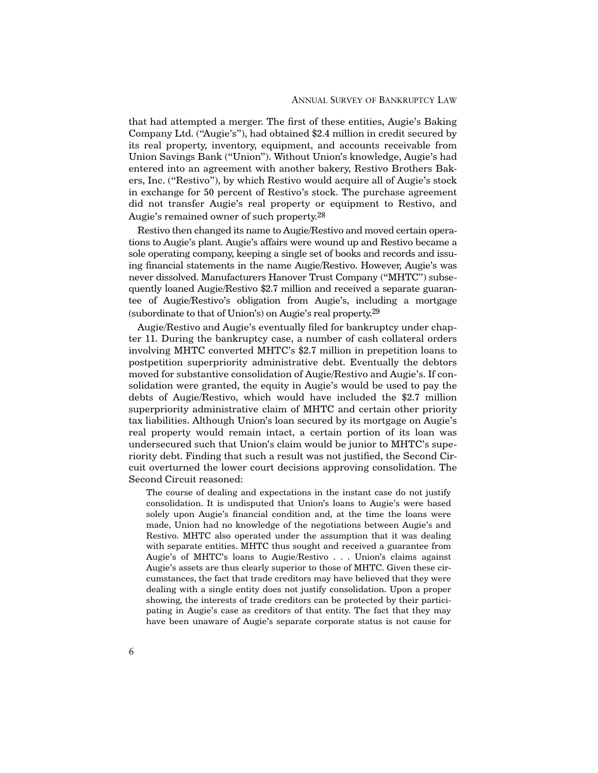that had attempted a merger. The first of these entities, Augie's Baking Company Ltd. ("Augie's"), had obtained \$2.4 million in credit secured by its real property, inventory, equipment, and accounts receivable from Union Savings Bank ("Union"). Without Union's knowledge, Augie's had entered into an agreement with another bakery, Restivo Brothers Bakers, Inc. ("Restivo"), by which Restivo would acquire all of Augie's stock in exchange for 50 percent of Restivo's stock. The purchase agreement did not transfer Augie's real property or equipment to Restivo, and Augie's remained owner of such property.28

Restivo then changed its name to Augie/Restivo and moved certain operations to Augie's plant. Augie's affairs were wound up and Restivo became a sole operating company, keeping a single set of books and records and issuing financial statements in the name Augie/Restivo. However, Augie's was never dissolved. Manufacturers Hanover Trust Company ("MHTC") subsequently loaned Augie/Restivo \$2.7 million and received a separate guarantee of Augie/Restivo's obligation from Augie's, including a mortgage (subordinate to that of Union's) on Augie's real property.29

Augie/Restivo and Augie's eventually filed for bankruptcy under chapter 11. During the bankruptcy case, a number of cash collateral orders involving MHTC converted MHTC's \$2.7 million in prepetition loans to postpetition superpriority administrative debt. Eventually the debtors moved for substantive consolidation of Augie/Restivo and Augie's. If consolidation were granted, the equity in Augie's would be used to pay the debts of Augie/Restivo, which would have included the \$2.7 million superpriority administrative claim of MHTC and certain other priority tax liabilities. Although Union's loan secured by its mortgage on Augie's real property would remain intact, a certain portion of its loan was undersecured such that Union's claim would be junior to MHTC's superiority debt. Finding that such a result was not justified, the Second Circuit overturned the lower court decisions approving consolidation. The Second Circuit reasoned:

The course of dealing and expectations in the instant case do not justify consolidation. It is undisputed that Union's loans to Augie's were based solely upon Augie's financial condition and, at the time the loans were made, Union had no knowledge of the negotiations between Augie's and Restivo. MHTC also operated under the assumption that it was dealing with separate entities. MHTC thus sought and received a guarantee from Augie's of MHTC's loans to Augie/Restivo . . . Union's claims against Augie's assets are thus clearly superior to those of MHTC. Given these circumstances, the fact that trade creditors may have believed that they were dealing with a single entity does not justify consolidation. Upon a proper showing, the interests of trade creditors can be protected by their participating in Augie's case as creditors of that entity. The fact that they may have been unaware of Augie's separate corporate status is not cause for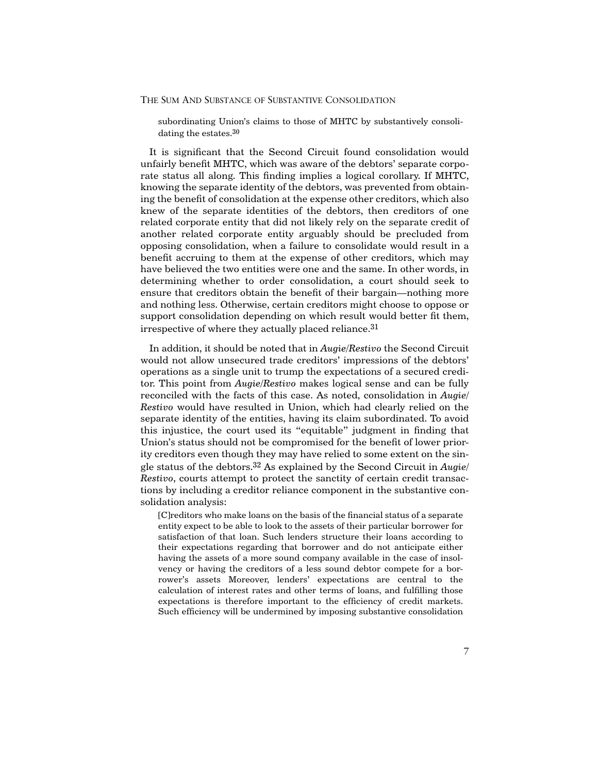subordinating Union's claims to those of MHTC by substantively consolidating the estates.30

It is significant that the Second Circuit found consolidation would unfairly benefit MHTC, which was aware of the debtors' separate corporate status all along. This finding implies a logical corollary. If MHTC, knowing the separate identity of the debtors, was prevented from obtaining the benefit of consolidation at the expense other creditors, which also knew of the separate identities of the debtors, then creditors of one related corporate entity that did not likely rely on the separate credit of another related corporate entity arguably should be precluded from opposing consolidation, when a failure to consolidate would result in a benefit accruing to them at the expense of other creditors, which may have believed the two entities were one and the same. In other words, in determining whether to order consolidation, a court should seek to ensure that creditors obtain the benefit of their bargain—nothing more and nothing less. Otherwise, certain creditors might choose to oppose or support consolidation depending on which result would better fit them, irrespective of where they actually placed reliance.31

In addition, it should be noted that in *Augie/Restivo* the Second Circuit would not allow unsecured trade creditors' impressions of the debtors' operations as a single unit to trump the expectations of a secured creditor. This point from *Augie/Restivo* makes logical sense and can be fully reconciled with the facts of this case. As noted, consolidation in *Augie/ Restivo* would have resulted in Union, which had clearly relied on the separate identity of the entities, having its claim subordinated. To avoid this injustice, the court used its "equitable" judgment in finding that Union's status should not be compromised for the benefit of lower priority creditors even though they may have relied to some extent on the single status of the debtors.32 As explained by the Second Circuit in *Augie/ Restivo*, courts attempt to protect the sanctity of certain credit transactions by including a creditor reliance component in the substantive consolidation analysis:

[C]reditors who make loans on the basis of the financial status of a separate entity expect to be able to look to the assets of their particular borrower for satisfaction of that loan. Such lenders structure their loans according to their expectations regarding that borrower and do not anticipate either having the assets of a more sound company available in the case of insolvency or having the creditors of a less sound debtor compete for a borrower's assets Moreover, lenders' expectations are central to the calculation of interest rates and other terms of loans, and fulfilling those expectations is therefore important to the efficiency of credit markets. Such efficiency will be undermined by imposing substantive consolidation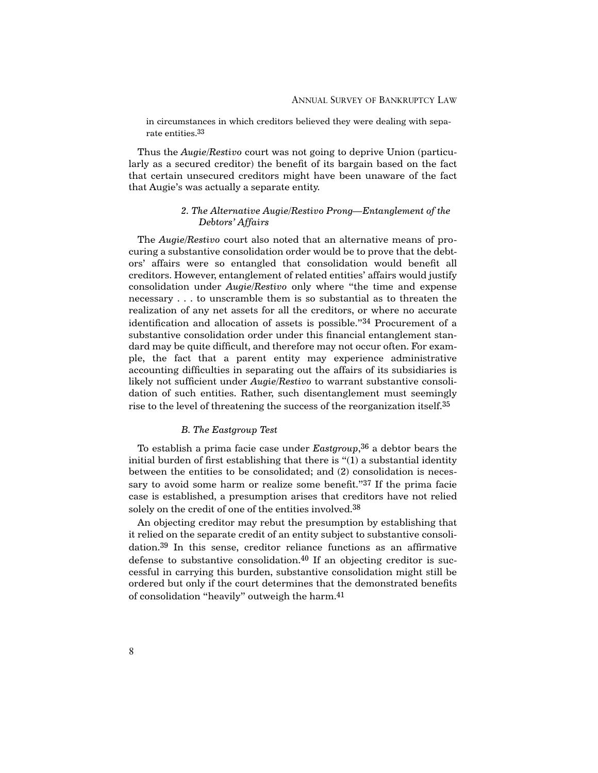in circumstances in which creditors believed they were dealing with separate entities.33

Thus the *Augie/Restivo* court was not going to deprive Union (particularly as a secured creditor) the benefit of its bargain based on the fact that certain unsecured creditors might have been unaware of the fact that Augie's was actually a separate entity.

## *2. The Alternative Augie/Restivo Prong—Entanglement of the Debtors' Affairs*

The *Augie/Restivo* court also noted that an alternative means of procuring a substantive consolidation order would be to prove that the debtors' affairs were so entangled that consolidation would benefit all creditors. However, entanglement of related entities' affairs would justify consolidation under *Augie/Restivo* only where "the time and expense necessary . . . to unscramble them is so substantial as to threaten the realization of any net assets for all the creditors, or where no accurate identification and allocation of assets is possible."34 Procurement of a substantive consolidation order under this financial entanglement standard may be quite difficult, and therefore may not occur often. For example, the fact that a parent entity may experience administrative accounting difficulties in separating out the affairs of its subsidiaries is likely not sufficient under *Augie/Restivo* to warrant substantive consolidation of such entities. Rather, such disentanglement must seemingly rise to the level of threatening the success of the reorganization itself.35

#### *B. The Eastgroup Test*

To establish a prima facie case under *Eastgroup*,36 a debtor bears the initial burden of first establishing that there is "(1) a substantial identity between the entities to be consolidated; and (2) consolidation is necessary to avoid some harm or realize some benefit."<sup>37</sup> If the prima facie case is established, a presumption arises that creditors have not relied solely on the credit of one of the entities involved.<sup>38</sup>

An objecting creditor may rebut the presumption by establishing that it relied on the separate credit of an entity subject to substantive consolidation.39 In this sense, creditor reliance functions as an affirmative defense to substantive consolidation.<sup>40</sup> If an objecting creditor is successful in carrying this burden, substantive consolidation might still be ordered but only if the court determines that the demonstrated benefits of consolidation "heavily" outweigh the harm.41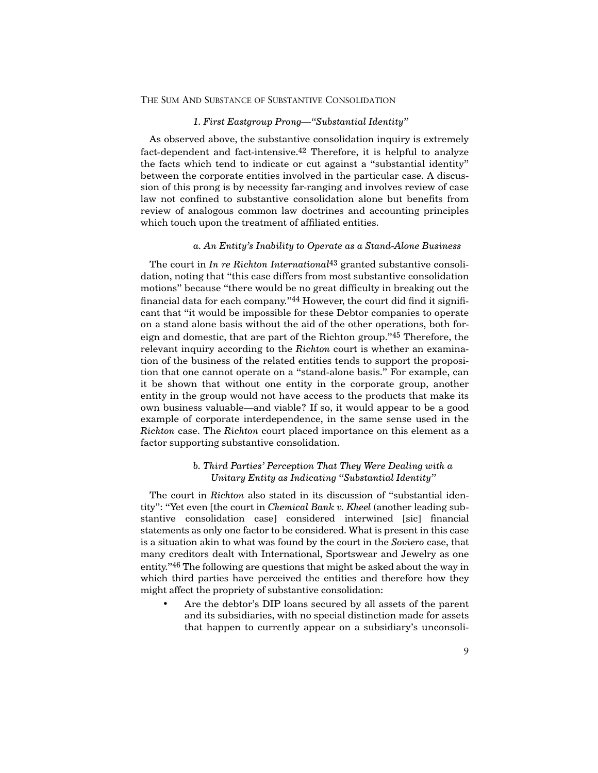## *1. First Eastgroup Prong—"Substantial Identity"*

As observed above, the substantive consolidation inquiry is extremely fact-dependent and fact-intensive.42 Therefore, it is helpful to analyze the facts which tend to indicate or cut against a "substantial identity" between the corporate entities involved in the particular case. A discussion of this prong is by necessity far-ranging and involves review of case law not confined to substantive consolidation alone but benefits from review of analogous common law doctrines and accounting principles which touch upon the treatment of affiliated entities.

#### *a. An Entity's Inability to Operate as a Stand-Alone Business*

The court in *In re Richton International*43 granted substantive consolidation, noting that "this case differs from most substantive consolidation motions" because "there would be no great difficulty in breaking out the financial data for each company."44 However, the court did find it significant that "it would be impossible for these Debtor companies to operate on a stand alone basis without the aid of the other operations, both foreign and domestic, that are part of the Richton group."45 Therefore, the relevant inquiry according to the *Richton* court is whether an examination of the business of the related entities tends to support the proposition that one cannot operate on a "stand-alone basis." For example, can it be shown that without one entity in the corporate group, another entity in the group would not have access to the products that make its own business valuable—and viable? If so, it would appear to be a good example of corporate interdependence, in the same sense used in the *Richton* case. The *Richton* court placed importance on this element as a factor supporting substantive consolidation.

## *b. Third Parties' Perception That They Were Dealing with a Unitary Entity as Indicating "Substantial Identity"*

The court in *Richton* also stated in its discussion of "substantial identity": "Yet even [the court in *Chemical Bank v. Kheel* (another leading substantive consolidation case] considered interwined [sic] financial statements as only one factor to be considered. What is present in this case is a situation akin to what was found by the court in the *Soviero* case, that many creditors dealt with International, Sportswear and Jewelry as one entity."46 The following are questions that might be asked about the way in which third parties have perceived the entities and therefore how they might affect the propriety of substantive consolidation:

• Are the debtor's DIP loans secured by all assets of the parent and its subsidiaries, with no special distinction made for assets that happen to currently appear on a subsidiary's unconsoli-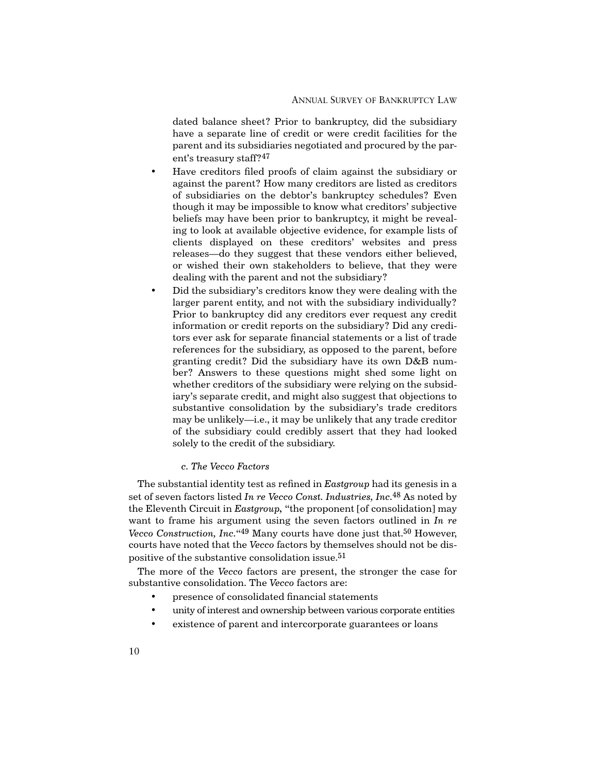dated balance sheet? Prior to bankruptcy, did the subsidiary have a separate line of credit or were credit facilities for the parent and its subsidiaries negotiated and procured by the parent's treasury staff?47

- Have creditors filed proofs of claim against the subsidiary or against the parent? How many creditors are listed as creditors of subsidiaries on the debtor's bankruptcy schedules? Even though it may be impossible to know what creditors' subjective beliefs may have been prior to bankruptcy, it might be revealing to look at available objective evidence, for example lists of clients displayed on these creditors' websites and press releases—do they suggest that these vendors either believed, or wished their own stakeholders to believe, that they were dealing with the parent and not the subsidiary?
- Did the subsidiary's creditors know they were dealing with the larger parent entity, and not with the subsidiary individually? Prior to bankruptcy did any creditors ever request any credit information or credit reports on the subsidiary? Did any creditors ever ask for separate financial statements or a list of trade references for the subsidiary, as opposed to the parent, before granting credit? Did the subsidiary have its own D&B number? Answers to these questions might shed some light on whether creditors of the subsidiary were relying on the subsidiary's separate credit, and might also suggest that objections to substantive consolidation by the subsidiary's trade creditors may be unlikely—i.e., it may be unlikely that any trade creditor of the subsidiary could credibly assert that they had looked solely to the credit of the subsidiary.

## *c. The Vecco Factors*

The substantial identity test as refined in *Eastgroup* had its genesis in a set of seven factors listed *In re Vecco Const. Industries, Inc.*48 As noted by the Eleventh Circuit in *Eastgroup,* "the proponent [of consolidation] may want to frame his argument using the seven factors outlined in *In re Vecco Construction, Inc.*"<sup>49</sup> Many courts have done just that.<sup>50</sup> However, courts have noted that the *Vecco* factors by themselves should not be dispositive of the substantive consolidation issue.51

The more of the *Vecco* factors are present, the stronger the case for substantive consolidation. The *Vecco* factors are:

- presence of consolidated financial statements
- unity of interest and ownership between various corporate entities
- existence of parent and intercorporate guarantees or loans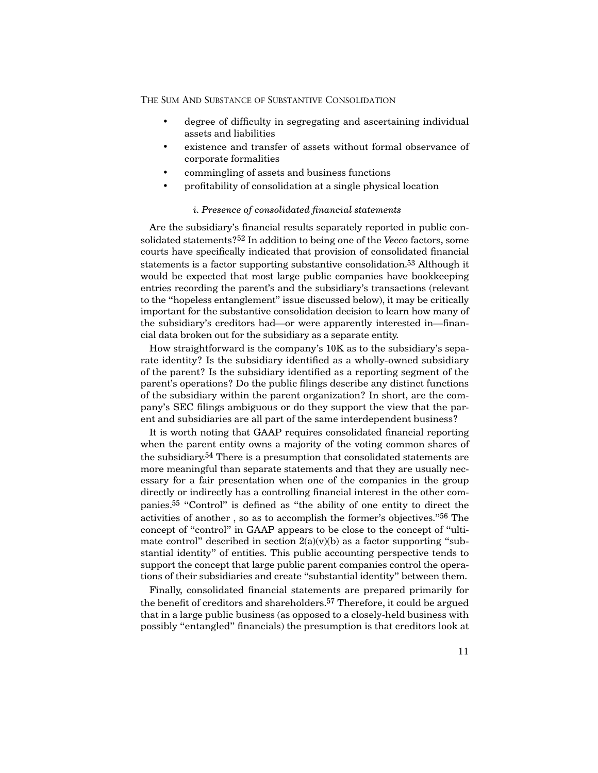- degree of difficulty in segregating and ascertaining individual assets and liabilities
- existence and transfer of assets without formal observance of corporate formalities
- commingling of assets and business functions
- profitability of consolidation at a single physical location

## *i. Presence of consolidated financial statements*

Are the subsidiary's financial results separately reported in public consolidated statements?52 In addition to being one of the *Vecco* factors, some courts have specifically indicated that provision of consolidated financial statements is a factor supporting substantive consolidation.53 Although it would be expected that most large public companies have bookkeeping entries recording the parent's and the subsidiary's transactions (relevant to the "hopeless entanglement" issue discussed below), it may be critically important for the substantive consolidation decision to learn how many of the subsidiary's creditors had—or were apparently interested in—financial data broken out for the subsidiary as a separate entity.

How straightforward is the company's 10K as to the subsidiary's separate identity? Is the subsidiary identified as a wholly-owned subsidiary of the parent? Is the subsidiary identified as a reporting segment of the parent's operations? Do the public filings describe any distinct functions of the subsidiary within the parent organization? In short, are the company's SEC filings ambiguous or do they support the view that the parent and subsidiaries are all part of the same interdependent business?

It is worth noting that GAAP requires consolidated financial reporting when the parent entity owns a majority of the voting common shares of the subsidiary.54 There is a presumption that consolidated statements are more meaningful than separate statements and that they are usually necessary for a fair presentation when one of the companies in the group directly or indirectly has a controlling financial interest in the other companies.55 "Control" is defined as "the ability of one entity to direct the activities of another , so as to accomplish the former's objectives."56 The concept of "control" in GAAP appears to be close to the concept of "ultimate control" described in section  $2(a)(v)(b)$  as a factor supporting "substantial identity" of entities. This public accounting perspective tends to support the concept that large public parent companies control the operations of their subsidiaries and create "substantial identity" between them.

Finally, consolidated financial statements are prepared primarily for the benefit of creditors and shareholders.57 Therefore, it could be argued that in a large public business (as opposed to a closely-held business with possibly "entangled" financials) the presumption is that creditors look at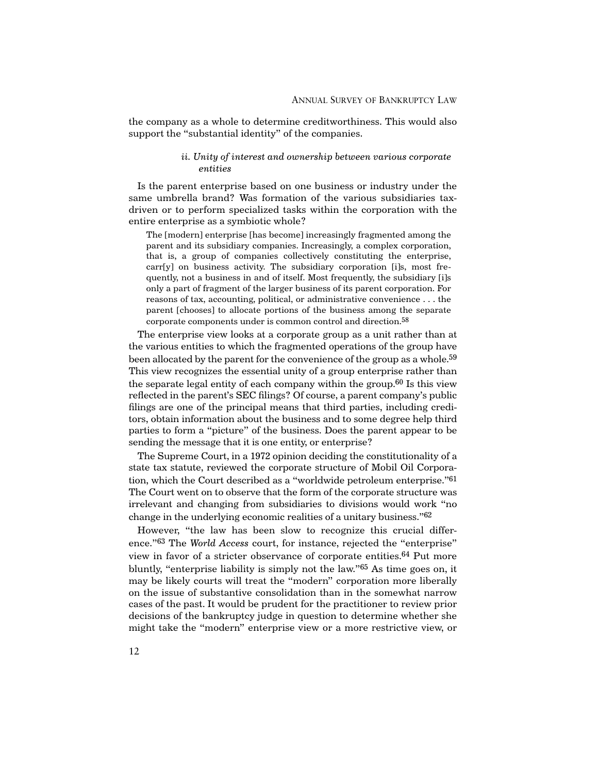the company as a whole to determine creditworthiness. This would also support the "substantial identity" of the companies.

## *ii. Unity of interest and ownership between various corporate entities*

Is the parent enterprise based on one business or industry under the same umbrella brand? Was formation of the various subsidiaries taxdriven or to perform specialized tasks within the corporation with the entire enterprise as a symbiotic whole?

The [modern] enterprise [has become] increasingly fragmented among the parent and its subsidiary companies. Increasingly, a complex corporation, that is, a group of companies collectively constituting the enterprise, carr[y] on business activity. The subsidiary corporation [i]s, most frequently, not a business in and of itself. Most frequently, the subsidiary [i]s only a part of fragment of the larger business of its parent corporation. For reasons of tax, accounting, political, or administrative convenience . . . the parent [chooses] to allocate portions of the business among the separate corporate components under is common control and direction.58

The enterprise view looks at a corporate group as a unit rather than at the various entities to which the fragmented operations of the group have been allocated by the parent for the convenience of the group as a whole.<sup>59</sup> This view recognizes the essential unity of a group enterprise rather than the separate legal entity of each company within the group.60 Is this view reflected in the parent's SEC filings? Of course, a parent company's public filings are one of the principal means that third parties, including creditors, obtain information about the business and to some degree help third parties to form a "picture" of the business. Does the parent appear to be sending the message that it is one entity, or enterprise?

The Supreme Court, in a 1972 opinion deciding the constitutionality of a state tax statute, reviewed the corporate structure of Mobil Oil Corporation, which the Court described as a "worldwide petroleum enterprise."61 The Court went on to observe that the form of the corporate structure was irrelevant and changing from subsidiaries to divisions would work "no change in the underlying economic realities of a unitary business."62

However, "the law has been slow to recognize this crucial difference."63 The *World Access* court, for instance, rejected the "enterprise" view in favor of a stricter observance of corporate entities.64 Put more bluntly, "enterprise liability is simply not the law."65 As time goes on, it may be likely courts will treat the "modern" corporation more liberally on the issue of substantive consolidation than in the somewhat narrow cases of the past. It would be prudent for the practitioner to review prior decisions of the bankruptcy judge in question to determine whether she might take the "modern" enterprise view or a more restrictive view, or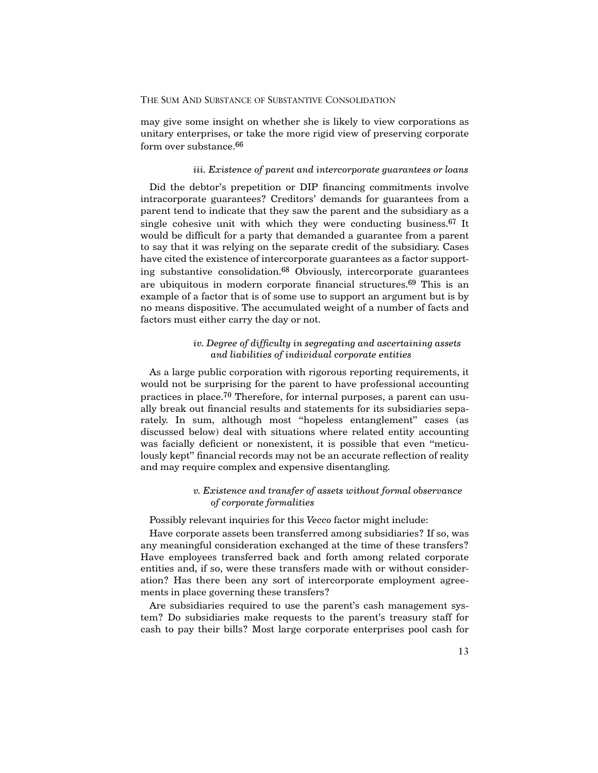may give some insight on whether she is likely to view corporations as unitary enterprises, or take the more rigid view of preserving corporate form over substance.<sup>66</sup>

#### *iii. Existence of parent and intercorporate guarantees or loans*

Did the debtor's prepetition or DIP financing commitments involve intracorporate guarantees? Creditors' demands for guarantees from a parent tend to indicate that they saw the parent and the subsidiary as a single cohesive unit with which they were conducting business. $67$  It would be difficult for a party that demanded a guarantee from a parent to say that it was relying on the separate credit of the subsidiary. Cases have cited the existence of intercorporate guarantees as a factor supporting substantive consolidation.68 Obviously, intercorporate guarantees are ubiquitous in modern corporate financial structures.69 This is an example of a factor that is of some use to support an argument but is by no means dispositive. The accumulated weight of a number of facts and factors must either carry the day or not.

## *iv. Degree of difficulty in segregating and ascertaining assets and liabilities of individual corporate entities*

As a large public corporation with rigorous reporting requirements, it would not be surprising for the parent to have professional accounting practices in place.70 Therefore, for internal purposes, a parent can usually break out financial results and statements for its subsidiaries separately. In sum, although most "hopeless entanglement" cases (as discussed below) deal with situations where related entity accounting was facially deficient or nonexistent, it is possible that even "meticulously kept" financial records may not be an accurate reflection of reality and may require complex and expensive disentangling.

## *v. Existence and transfer of assets without formal observance of corporate formalities*

Possibly relevant inquiries for this *Vecco* factor might include:

Have corporate assets been transferred among subsidiaries? If so, was any meaningful consideration exchanged at the time of these transfers? Have employees transferred back and forth among related corporate entities and, if so, were these transfers made with or without consideration? Has there been any sort of intercorporate employment agreements in place governing these transfers?

Are subsidiaries required to use the parent's cash management system? Do subsidiaries make requests to the parent's treasury staff for cash to pay their bills? Most large corporate enterprises pool cash for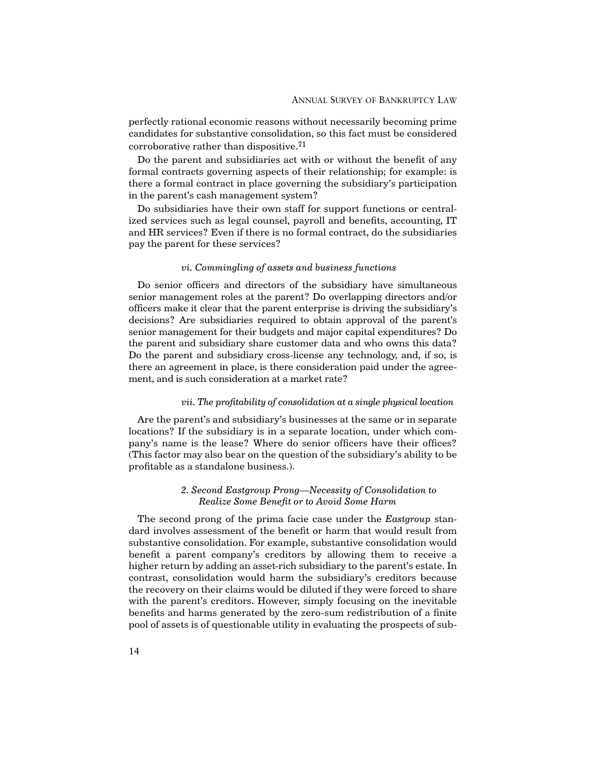perfectly rational economic reasons without necessarily becoming prime candidates for substantive consolidation, so this fact must be considered corroborative rather than dispositive.71

Do the parent and subsidiaries act with or without the benefit of any formal contracts governing aspects of their relationship; for example: is there a formal contract in place governing the subsidiary's participation in the parent's cash management system?

Do subsidiaries have their own staff for support functions or centralized services such as legal counsel, payroll and benefits, accounting, IT and HR services? Even if there is no formal contract, do the subsidiaries pay the parent for these services?

#### *vi. Commingling of assets and business functions*

Do senior officers and directors of the subsidiary have simultaneous senior management roles at the parent? Do overlapping directors and/or officers make it clear that the parent enterprise is driving the subsidiary's decisions? Are subsidiaries required to obtain approval of the parent's senior management for their budgets and major capital expenditures? Do the parent and subsidiary share customer data and who owns this data? Do the parent and subsidiary cross-license any technology, and, if so, is there an agreement in place, is there consideration paid under the agreement, and is such consideration at a market rate?

## *vii. The profitability of consolidation at a single physical location*

Are the parent's and subsidiary's businesses at the same or in separate locations? If the subsidiary is in a separate location, under which company's name is the lease? Where do senior officers have their offices? (This factor may also bear on the question of the subsidiary's ability to be profitable as a standalone business.).

## *2. Second Eastgroup Prong—Necessity of Consolidation to Realize Some Benefit or to Avoid Some Harm*

The second prong of the prima facie case under the *Eastgroup* standard involves assessment of the benefit or harm that would result from substantive consolidation. For example, substantive consolidation would benefit a parent company's creditors by allowing them to receive a higher return by adding an asset-rich subsidiary to the parent's estate. In contrast, consolidation would harm the subsidiary's creditors because the recovery on their claims would be diluted if they were forced to share with the parent's creditors. However, simply focusing on the inevitable benefits and harms generated by the zero-sum redistribution of a finite pool of assets is of questionable utility in evaluating the prospects of sub-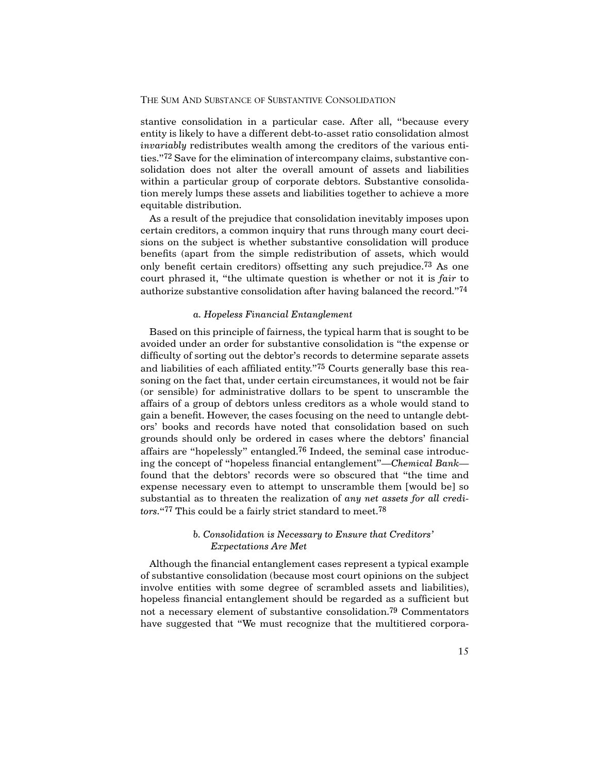stantive consolidation in a particular case. After all, "because every entity is likely to have a different debt-to-asset ratio consolidation almost *invariably* redistributes wealth among the creditors of the various entities."72 Save for the elimination of intercompany claims, substantive consolidation does not alter the overall amount of assets and liabilities within a particular group of corporate debtors. Substantive consolidation merely lumps these assets and liabilities together to achieve a more equitable distribution.

As a result of the prejudice that consolidation inevitably imposes upon certain creditors, a common inquiry that runs through many court decisions on the subject is whether substantive consolidation will produce benefits (apart from the simple redistribution of assets, which would only benefit certain creditors) offsetting any such prejudice.73 As one court phrased it, "the ultimate question is whether or not it is *fair* to authorize substantive consolidation after having balanced the record."74

#### *a. Hopeless Financial Entanglement*

Based on this principle of fairness, the typical harm that is sought to be avoided under an order for substantive consolidation is "the expense or difficulty of sorting out the debtor's records to determine separate assets and liabilities of each affiliated entity."<sup>75</sup> Courts generally base this reasoning on the fact that, under certain circumstances, it would not be fair (or sensible) for administrative dollars to be spent to unscramble the affairs of a group of debtors unless creditors as a whole would stand to gain a benefit. However, the cases focusing on the need to untangle debtors' books and records have noted that consolidation based on such grounds should only be ordered in cases where the debtors' financial affairs are "hopelessly" entangled.76 Indeed, the seminal case introducing the concept of "hopeless financial entanglement"—*Chemical Bank* found that the debtors' records were so obscured that "the time and expense necessary even to attempt to unscramble them [would be] so substantial as to threaten the realization of *any net assets for all creditors.*"77 This could be a fairly strict standard to meet.78

## *b. Consolidation is Necessary to Ensure that Creditors' Expectations Are Met*

Although the financial entanglement cases represent a typical example of substantive consolidation (because most court opinions on the subject involve entities with some degree of scrambled assets and liabilities), hopeless financial entanglement should be regarded as a sufficient but not a necessary element of substantive consolidation.79 Commentators have suggested that "We must recognize that the multitiered corpora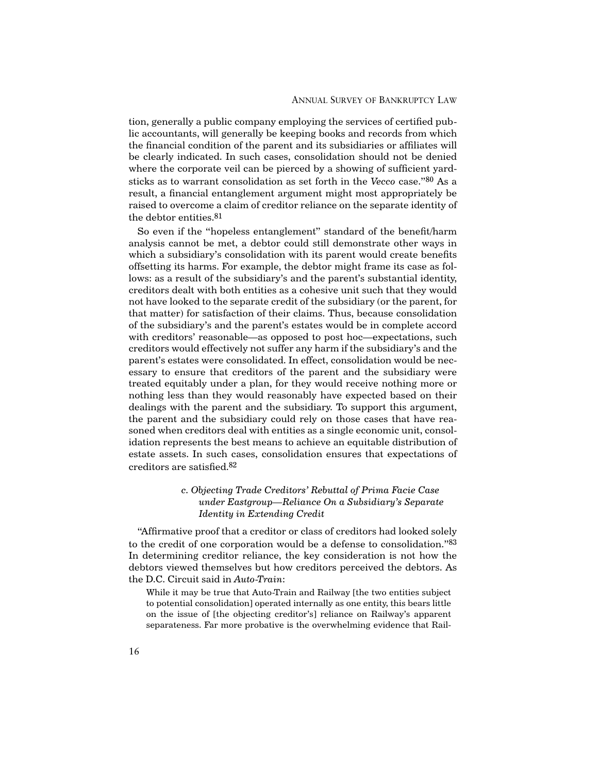tion, generally a public company employing the services of certified public accountants, will generally be keeping books and records from which the financial condition of the parent and its subsidiaries or affiliates will be clearly indicated. In such cases, consolidation should not be denied where the corporate veil can be pierced by a showing of sufficient yardsticks as to warrant consolidation as set forth in the *Vecco* case."80 As a result, a financial entanglement argument might most appropriately be raised to overcome a claim of creditor reliance on the separate identity of the debtor entities.81

So even if the "hopeless entanglement" standard of the benefit/harm analysis cannot be met, a debtor could still demonstrate other ways in which a subsidiary's consolidation with its parent would create benefits offsetting its harms. For example, the debtor might frame its case as follows: as a result of the subsidiary's and the parent's substantial identity, creditors dealt with both entities as a cohesive unit such that they would not have looked to the separate credit of the subsidiary (or the parent, for that matter) for satisfaction of their claims. Thus, because consolidation of the subsidiary's and the parent's estates would be in complete accord with creditors' reasonable—as opposed to post hoc—expectations, such creditors would effectively not suffer any harm if the subsidiary's and the parent's estates were consolidated. In effect, consolidation would be necessary to ensure that creditors of the parent and the subsidiary were treated equitably under a plan, for they would receive nothing more or nothing less than they would reasonably have expected based on their dealings with the parent and the subsidiary. To support this argument, the parent and the subsidiary could rely on those cases that have reasoned when creditors deal with entities as a single economic unit, consolidation represents the best means to achieve an equitable distribution of estate assets. In such cases, consolidation ensures that expectations of creditors are satisfied.82

## *c. Objecting Trade Creditors' Rebuttal of Prima Facie Case under Eastgroup—Reliance On a Subsidiary's Separate Identity in Extending Credit*

"Affirmative proof that a creditor or class of creditors had looked solely to the credit of one corporation would be a defense to consolidation."83 In determining creditor reliance, the key consideration is not how the debtors viewed themselves but how creditors perceived the debtors. As the D.C. Circuit said in *Auto-Train*:

While it may be true that Auto-Train and Railway [the two entities subject to potential consolidation] operated internally as one entity, this bears little on the issue of [the objecting creditor's] reliance on Railway's apparent separateness. Far more probative is the overwhelming evidence that Rail-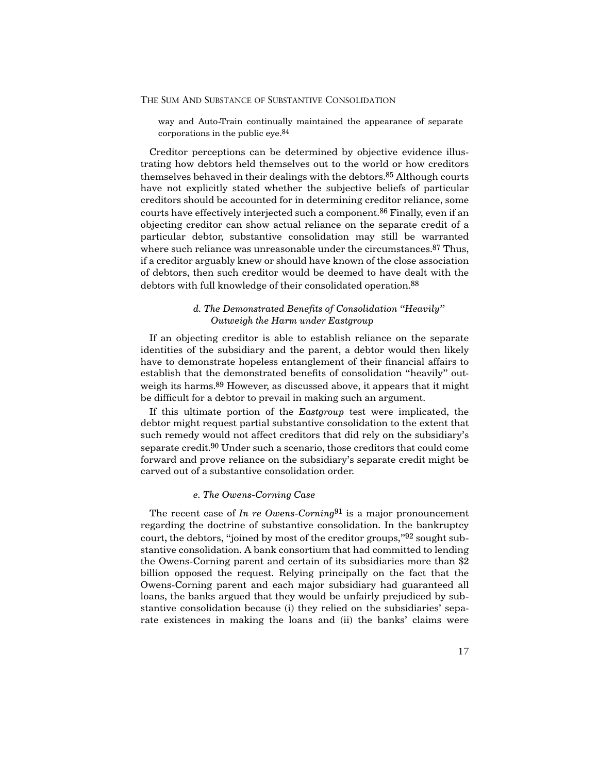way and Auto-Train continually maintained the appearance of separate corporations in the public eye.84

Creditor perceptions can be determined by objective evidence illustrating how debtors held themselves out to the world or how creditors themselves behaved in their dealings with the debtors.85 Although courts have not explicitly stated whether the subjective beliefs of particular creditors should be accounted for in determining creditor reliance, some courts have effectively interjected such a component.<sup>86</sup> Finally, even if an objecting creditor can show actual reliance on the separate credit of a particular debtor, substantive consolidation may still be warranted where such reliance was unreasonable under the circumstances.<sup>87</sup> Thus, if a creditor arguably knew or should have known of the close association of debtors, then such creditor would be deemed to have dealt with the debtors with full knowledge of their consolidated operation.<sup>88</sup>

## *d. The Demonstrated Benefits of Consolidation "Heavily" Outweigh the Harm under Eastgroup*

If an objecting creditor is able to establish reliance on the separate identities of the subsidiary and the parent, a debtor would then likely have to demonstrate hopeless entanglement of their financial affairs to establish that the demonstrated benefits of consolidation "heavily" outweigh its harms.<sup>89</sup> However, as discussed above, it appears that it might be difficult for a debtor to prevail in making such an argument.

If this ultimate portion of the *Eastgroup* test were implicated, the debtor might request partial substantive consolidation to the extent that such remedy would not affect creditors that did rely on the subsidiary's separate credit.90 Under such a scenario, those creditors that could come forward and prove reliance on the subsidiary's separate credit might be carved out of a substantive consolidation order.

#### *e. The Owens-Corning Case*

The recent case of *In re Owens-Corning*91 is a major pronouncement regarding the doctrine of substantive consolidation. In the bankruptcy court**,** the debtors, "joined by most of the creditor groups,"92 sought substantive consolidation. A bank consortium that had committed to lending the Owens-Corning parent and certain of its subsidiaries more than \$2 billion opposed the request. Relying principally on the fact that the Owens-Corning parent and each major subsidiary had guaranteed all loans, the banks argued that they would be unfairly prejudiced by substantive consolidation because (i) they relied on the subsidiaries' separate existences in making the loans and (ii) the banks' claims were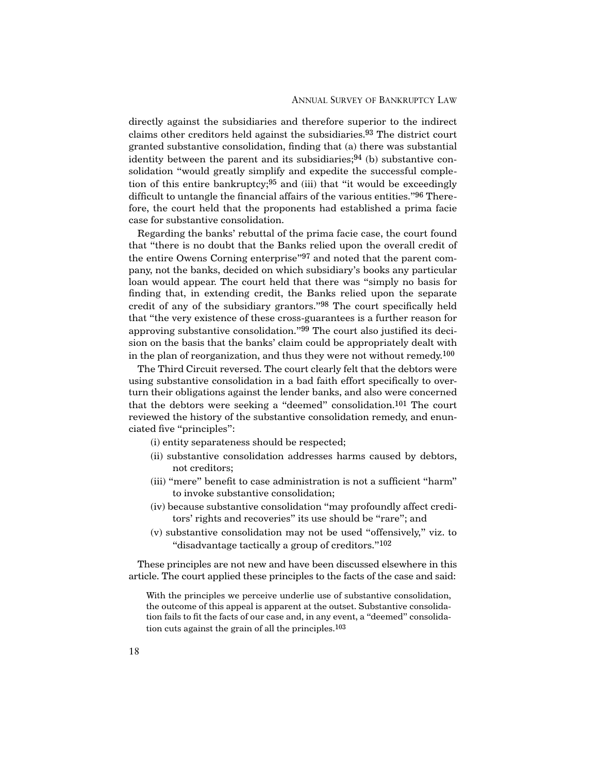directly against the subsidiaries and therefore superior to the indirect claims other creditors held against the subsidiaries.93 The district court granted substantive consolidation, finding that (a) there was substantial identity between the parent and its subsidiaries;  $94$  (b) substantive consolidation "would greatly simplify and expedite the successful completion of this entire bankruptcy;  $95$  and (iii) that "it would be exceedingly difficult to untangle the financial affairs of the various entities."96 Therefore, the court held that the proponents had established a prima facie case for substantive consolidation.

Regarding the banks' rebuttal of the prima facie case, the court found that "there is no doubt that the Banks relied upon the overall credit of the entire Owens Corning enterprise"97 and noted that the parent company, not the banks, decided on which subsidiary's books any particular loan would appear. The court held that there was "simply no basis for finding that, in extending credit, the Banks relied upon the separate credit of any of the subsidiary grantors."98 The court specifically held that "the very existence of these cross-guarantees is a further reason for approving substantive consolidation."99 The court also justified its decision on the basis that the banks' claim could be appropriately dealt with in the plan of reorganization, and thus they were not without remedy.<sup>100</sup>

The Third Circuit reversed. The court clearly felt that the debtors were using substantive consolidation in a bad faith effort specifically to overturn their obligations against the lender banks, and also were concerned that the debtors were seeking a "deemed" consolidation.101 The court reviewed the history of the substantive consolidation remedy, and enunciated five "principles":

(i) entity separateness should be respected;

- (ii) substantive consolidation addresses harms caused by debtors, not creditors;
- (iii) "mere" benefit to case administration is not a sufficient "harm" to invoke substantive consolidation;
- (iv) because substantive consolidation "may profoundly affect creditors' rights and recoveries" its use should be "rare"; and
- (v) substantive consolidation may not be used "offensively," viz. to "disadvantage tactically a group of creditors."102

These principles are not new and have been discussed elsewhere in this article. The court applied these principles to the facts of the case and said:

With the principles we perceive underlie use of substantive consolidation, the outcome of this appeal is apparent at the outset. Substantive consolidation fails to fit the facts of our case and, in any event, a "deemed" consolidation cuts against the grain of all the principles.103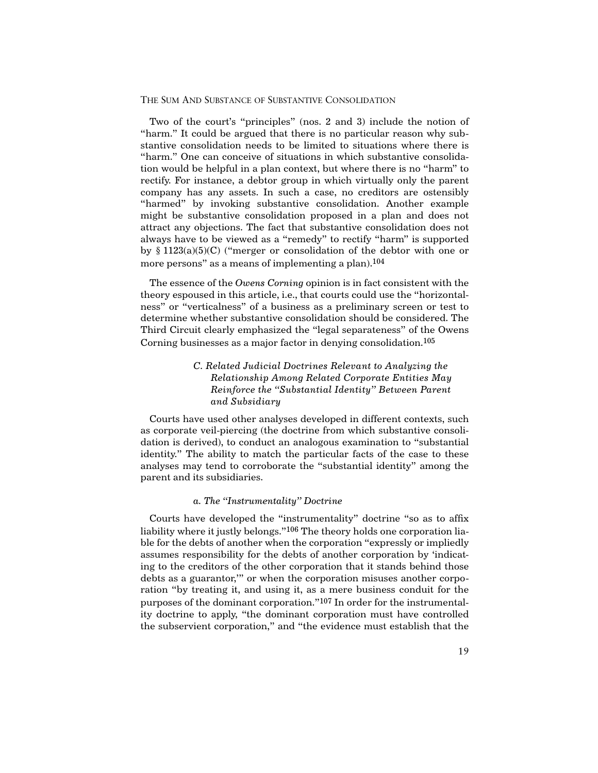Two of the court's "principles" (nos. 2 and 3) include the notion of "harm." It could be argued that there is no particular reason why substantive consolidation needs to be limited to situations where there is "harm." One can conceive of situations in which substantive consolidation would be helpful in a plan context, but where there is no "harm" to rectify. For instance, a debtor group in which virtually only the parent company has any assets. In such a case, no creditors are ostensibly "harmed" by invoking substantive consolidation. Another example might be substantive consolidation proposed in a plan and does not attract any objections. The fact that substantive consolidation does not always have to be viewed as a "remedy" to rectify "harm" is supported by  $\S 1123(a)(5)(C)$  ("merger or consolidation of the debtor with one or more persons" as a means of implementing a plan).<sup>104</sup>

The essence of the *Owens Corning* opinion is in fact consistent with the theory espoused in this article, i.e., that courts could use the "horizontalness" or "verticalness" of a business as a preliminary screen or test to determine whether substantive consolidation should be considered. The Third Circuit clearly emphasized the "legal separateness" of the Owens Corning businesses as a major factor in denying consolidation.105

## *C. Related Judicial Doctrines Relevant to Analyzing the Relationship Among Related Corporate Entities May Reinforce the "Substantial Identity" Between Parent and Subsidiary*

Courts have used other analyses developed in different contexts, such as corporate veil-piercing (the doctrine from which substantive consolidation is derived), to conduct an analogous examination to "substantial identity." The ability to match the particular facts of the case to these analyses may tend to corroborate the "substantial identity" among the parent and its subsidiaries.

## *a. The "Instrumentality" Doctrine*

Courts have developed the "instrumentality" doctrine "so as to affix liability where it justly belongs."<sup>106</sup> The theory holds one corporation liable for the debts of another when the corporation "expressly or impliedly assumes responsibility for the debts of another corporation by 'indicating to the creditors of the other corporation that it stands behind those debts as a guarantor,'" or when the corporation misuses another corporation "by treating it, and using it, as a mere business conduit for the purposes of the dominant corporation."107 In order for the instrumentality doctrine to apply, "the dominant corporation must have controlled the subservient corporation," and "the evidence must establish that the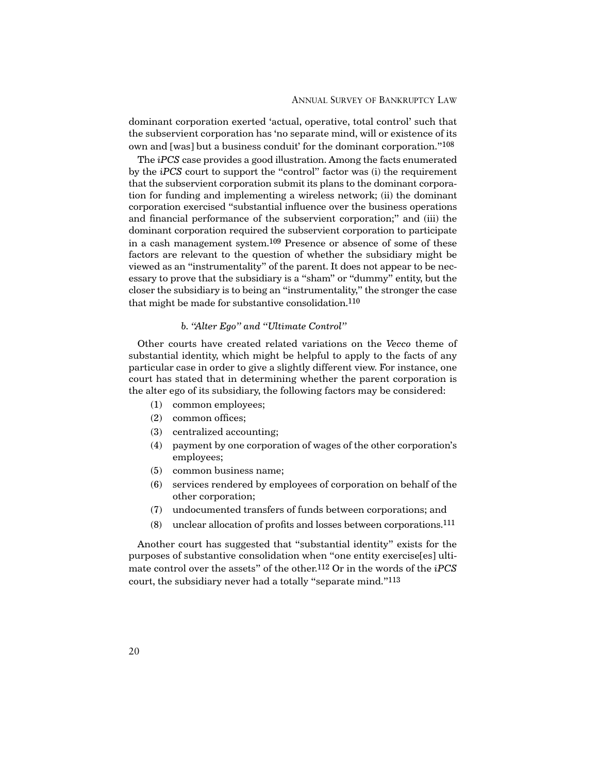dominant corporation exerted 'actual, operative, total control' such that the subservient corporation has 'no separate mind, will or existence of its own and [was] but a business conduit' for the dominant corporation."108

The *iPCS* case provides a good illustration. Among the facts enumerated by the *iPCS* court to support the "control" factor was (i) the requirement that the subservient corporation submit its plans to the dominant corporation for funding and implementing a wireless network; (ii) the dominant corporation exercised "substantial influence over the business operations and financial performance of the subservient corporation;" and (iii) the dominant corporation required the subservient corporation to participate in a cash management system.109 Presence or absence of some of these factors are relevant to the question of whether the subsidiary might be viewed as an "instrumentality" of the parent. It does not appear to be necessary to prove that the subsidiary is a "sham" or "dummy" entity, but the closer the subsidiary is to being an "instrumentality," the stronger the case that might be made for substantive consolidation.110

## *b. "Alter Ego" and "Ultimate Control"*

Other courts have created related variations on the *Vecco* theme of substantial identity, which might be helpful to apply to the facts of any particular case in order to give a slightly different view. For instance, one court has stated that in determining whether the parent corporation is the alter ego of its subsidiary, the following factors may be considered:

- (1) common employees;
- (2) common offices;
- (3) centralized accounting;
- (4) payment by one corporation of wages of the other corporation's employees;
- (5) common business name;
- (6) services rendered by employees of corporation on behalf of the other corporation;
- (7) undocumented transfers of funds between corporations; and
- (8) unclear allocation of profits and losses between corporations.111

Another court has suggested that "substantial identity" exists for the purposes of substantive consolidation when "one entity exercise[es] ultimate control over the assets" of the other.112 Or in the words of the *iPCS* court, the subsidiary never had a totally "separate mind."113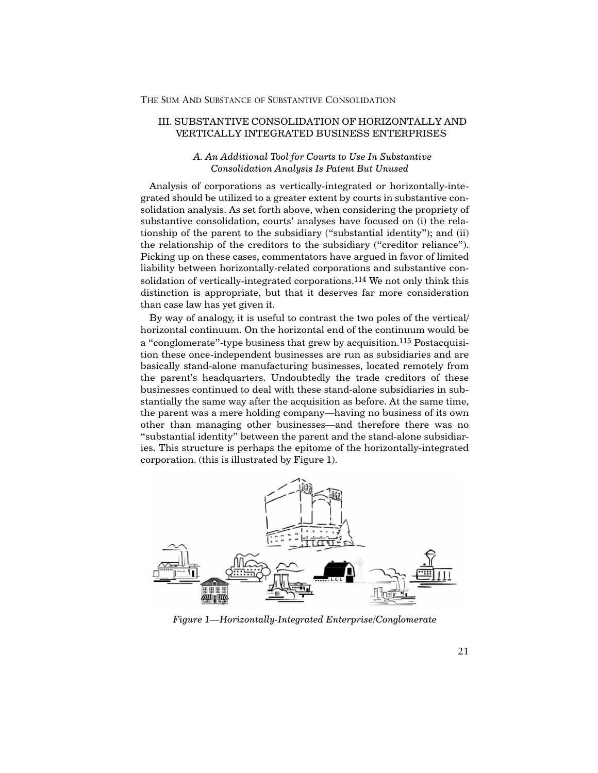#### III. SUBSTANTIVE CONSOLIDATION OF HORIZONTALLY AND VERTICALLY INTEGRATED BUSINESS ENTERPRISES

## *A. An Additional Tool for Courts to Use In Substantive Consolidation Analysis Is Patent But Unused*

Analysis of corporations as vertically-integrated or horizontally-integrated should be utilized to a greater extent by courts in substantive consolidation analysis. As set forth above, when considering the propriety of substantive consolidation, courts' analyses have focused on (i) the relationship of the parent to the subsidiary ("substantial identity"); and (ii) the relationship of the creditors to the subsidiary ("creditor reliance"). Picking up on these cases, commentators have argued in favor of limited liability between horizontally-related corporations and substantive consolidation of vertically-integrated corporations.114 We not only think this distinction is appropriate, but that it deserves far more consideration than case law has yet given it.

By way of analogy, it is useful to contrast the two poles of the vertical/ horizontal continuum. On the horizontal end of the continuum would be a "conglomerate"-type business that grew by acquisition.115 Postacquisition these once-independent businesses are run as subsidiaries and are basically stand-alone manufacturing businesses, located remotely from the parent's headquarters. Undoubtedly the trade creditors of these businesses continued to deal with these stand-alone subsidiaries in substantially the same way after the acquisition as before. At the same time, the parent was a mere holding company—having no business of its own other than managing other businesses—and therefore there was no "substantial identity" between the parent and the stand-alone subsidiaries. This structure is perhaps the epitome of the horizontally-integrated corporation. (this is illustrated by Figure 1).



*Figure 1—Horizontally-Integrated Enterprise/Conglomerate*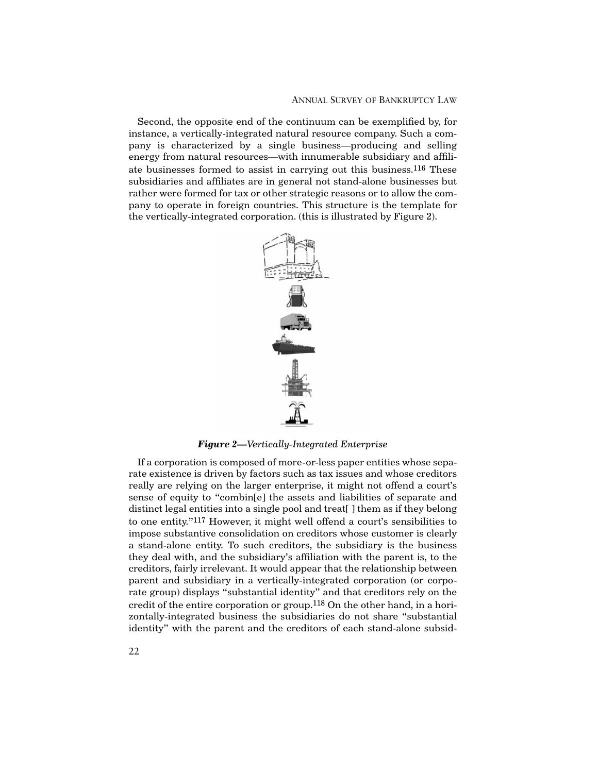#### ANNUAL SURVEY OF BANKRUPTCY LAW

Second, the opposite end of the continuum can be exemplified by, for instance, a vertically-integrated natural resource company. Such a company is characterized by a single business—producing and selling energy from natural resources—with innumerable subsidiary and affiliate businesses formed to assist in carrying out this business.116 These subsidiaries and affiliates are in general not stand-alone businesses but rather were formed for tax or other strategic reasons or to allow the company to operate in foreign countries. This structure is the template for the vertically-integrated corporation. (this is illustrated by Figure 2).



*Figure 2—Vertically-Integrated Enterprise*

If a corporation is composed of more-or-less paper entities whose separate existence is driven by factors such as tax issues and whose creditors really are relying on the larger enterprise, it might not offend a court's sense of equity to "combin[e] the assets and liabilities of separate and distinct legal entities into a single pool and treat[ ] them as if they belong to one entity."117 However, it might well offend a court's sensibilities to impose substantive consolidation on creditors whose customer is clearly a stand-alone entity. To such creditors, the subsidiary is the business they deal with, and the subsidiary's affiliation with the parent is, to the creditors, fairly irrelevant. It would appear that the relationship between parent and subsidiary in a vertically-integrated corporation (or corporate group) displays "substantial identity" and that creditors rely on the credit of the entire corporation or group.118 On the other hand, in a horizontally-integrated business the subsidiaries do not share "substantial identity" with the parent and the creditors of each stand-alone subsid-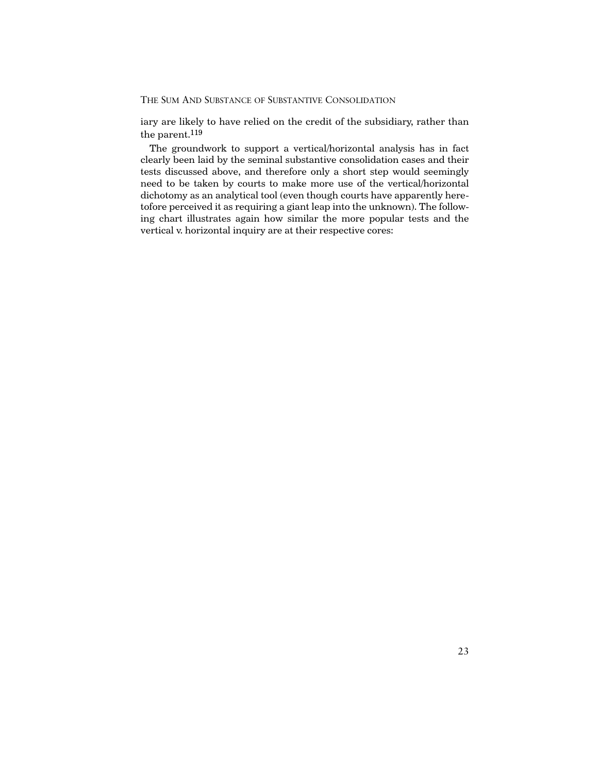iary are likely to have relied on the credit of the subsidiary, rather than the parent.119

The groundwork to support a vertical/horizontal analysis has in fact clearly been laid by the seminal substantive consolidation cases and their tests discussed above, and therefore only a short step would seemingly need to be taken by courts to make more use of the vertical/horizontal dichotomy as an analytical tool (even though courts have apparently heretofore perceived it as requiring a giant leap into the unknown). The following chart illustrates again how similar the more popular tests and the vertical v. horizontal inquiry are at their respective cores: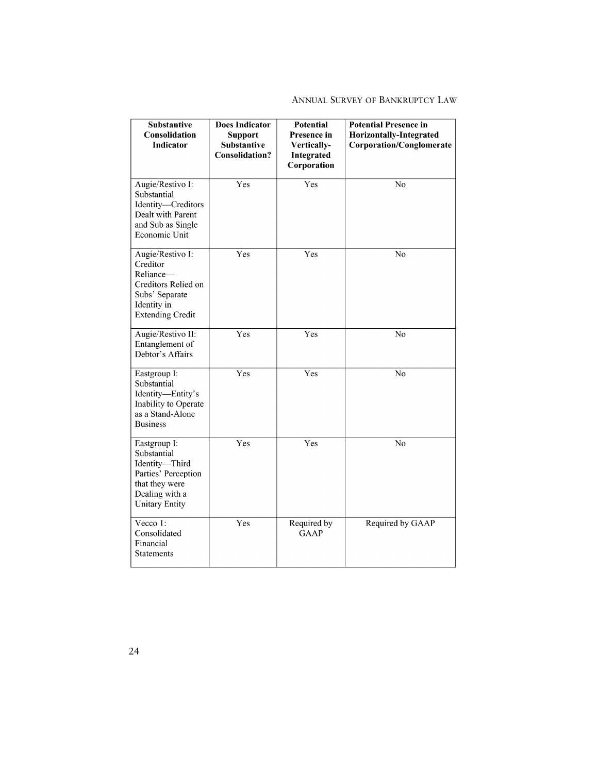## ANNUAL SURVEY OF BANKRUPTCY LAW

| <b>Substantive</b><br><b>Consolidation</b><br><b>Indicator</b>                                                                    | <b>Does Indicator</b><br><b>Support</b><br><b>Substantive</b><br><b>Consolidation?</b> | <b>Potential</b><br>Presence in<br>Vertically-<br>Integrated<br>Corporation | <b>Potential Presence in</b><br>Horizontally-Integrated<br><b>Corporation/Conglomerate</b> |
|-----------------------------------------------------------------------------------------------------------------------------------|----------------------------------------------------------------------------------------|-----------------------------------------------------------------------------|--------------------------------------------------------------------------------------------|
| Augie/Restivo I:<br>Substantial<br>Identity-Creditors<br>Dealt with Parent<br>and Sub as Single<br>Economic Unit                  | Yes                                                                                    | Yes                                                                         | N <sub>0</sub>                                                                             |
| Augie/Restivo I:<br>Creditor<br>Reliance-<br>Creditors Relied on<br>Subs' Separate<br>Identity in<br><b>Extending Credit</b>      | Yes                                                                                    | Yes                                                                         | No                                                                                         |
| Augie/Restivo II:<br>Entanglement of<br>Debtor's Affairs                                                                          | Yes                                                                                    | Yes                                                                         | $\overline{No}$                                                                            |
| Eastgroup I:<br>Substantial<br>Identity-Entity's<br>Inability to Operate<br>as a Stand-Alone<br><b>Business</b>                   | $\overline{\mathrm{Yes}}$                                                              | Yes                                                                         | N <sub>o</sub>                                                                             |
| Eastgroup I:<br>Substantial<br>Identity-Third<br>Parties' Perception<br>that they were<br>Dealing with a<br><b>Unitary Entity</b> | Yes                                                                                    | Yes                                                                         | No                                                                                         |
| Vecco 1:<br>Consolidated<br>Financial<br><b>Statements</b>                                                                        | Yes                                                                                    | Required by<br><b>GAAP</b>                                                  | Required by GAAP                                                                           |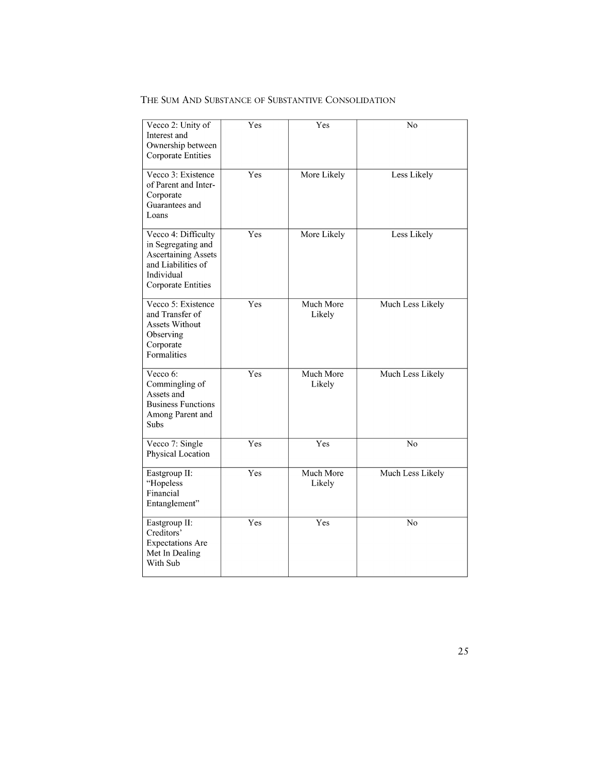| Vecco 2: Unity of<br>Interest and<br>Ownership between<br><b>Corporate Entities</b>                                                      | $\mathrm{\bar{Y}es}$ | Yes                 | No               |
|------------------------------------------------------------------------------------------------------------------------------------------|----------------------|---------------------|------------------|
| Vecco 3: Existence<br>of Parent and Inter-<br>Corporate<br>Guarantees and<br>Loans                                                       | Yes                  | More Likely         | Less Likely      |
| Vecco 4: Difficulty<br>in Segregating and<br><b>Ascertaining Assets</b><br>and Liabilities of<br>Individual<br><b>Corporate Entities</b> | Yes                  | More Likely         | Less Likely      |
| Vecco 5: Existence<br>and Transfer of<br><b>Assets Without</b><br>Observing<br>Corporate<br>Formalities                                  | Yes                  | Much More<br>Likely | Much Less Likely |
| Vecco 6:<br>Commingling of<br>Assets and<br><b>Business Functions</b><br>Among Parent and<br>Subs                                        | Yes                  | Much More<br>Likely | Much Less Likely |
| Vecco 7: Single<br>Physical Location                                                                                                     | Yes                  | Yes                 | N <sub>o</sub>   |
| Eastgroup II:<br>"Hopeless<br>Financial<br>Entanglement"                                                                                 | Yes                  | Much More<br>Likely | Much Less Likely |
| Eastgroup II:<br>Creditors'<br><b>Expectations Are</b><br>Met In Dealing<br>With Sub                                                     | Yes                  | Yes                 | N <sub>0</sub>   |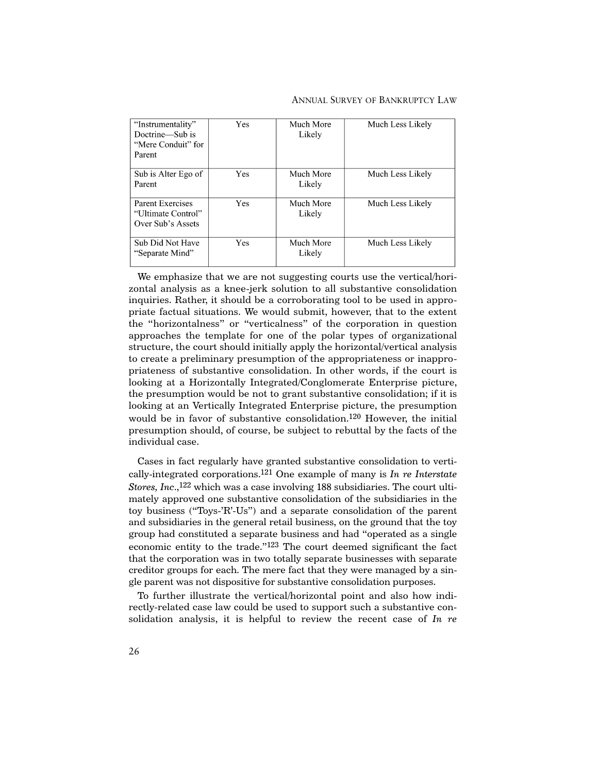#### ANNUAL SURVEY OF BANKRUPTCY LAW

| "Instrumentality"<br>Doctrine-Sub is<br>"Mere Conduit" for<br>Parent | Yes | Much More<br>Likely | Much Less Likely |
|----------------------------------------------------------------------|-----|---------------------|------------------|
| Sub is Alter Ego of<br>Parent                                        | Yes | Much More<br>Likely | Much Less Likely |
| <b>Parent Exercises</b><br>"Ultimate Control"<br>Over Sub's Assets   | Yes | Much More<br>Likely | Much Less Likely |
| Sub Did Not Have<br>"Separate Mind"                                  | Yes | Much More<br>Likely | Much Less Likely |

We emphasize that we are not suggesting courts use the vertical/horizontal analysis as a knee-jerk solution to all substantive consolidation inquiries. Rather, it should be a corroborating tool to be used in appropriate factual situations. We would submit, however, that to the extent the "horizontalness" or "verticalness" of the corporation in question approaches the template for one of the polar types of organizational structure, the court should initially apply the horizontal/vertical analysis to create a preliminary presumption of the appropriateness or inappropriateness of substantive consolidation. In other words, if the court is looking at a Horizontally Integrated/Conglomerate Enterprise picture, the presumption would be not to grant substantive consolidation; if it is looking at an Vertically Integrated Enterprise picture, the presumption would be in favor of substantive consolidation.120 However, the initial presumption should, of course, be subject to rebuttal by the facts of the individual case.

Cases in fact regularly have granted substantive consolidation to vertically-integrated corporations.121 One example of many is *In re Interstate Stores, Inc*.,122 which was a case involving 188 subsidiaries. The court ultimately approved one substantive consolidation of the subsidiaries in the toy business ("Toys-'R'-Us") and a separate consolidation of the parent and subsidiaries in the general retail business, on the ground that the toy group had constituted a separate business and had "operated as a single economic entity to the trade."123 The court deemed significant the fact that the corporation was in two totally separate businesses with separate creditor groups for each. The mere fact that they were managed by a single parent was not dispositive for substantive consolidation purposes.

To further illustrate the vertical/horizontal point and also how indirectly-related case law could be used to support such a substantive consolidation analysis, it is helpful to review the recent case of *In re*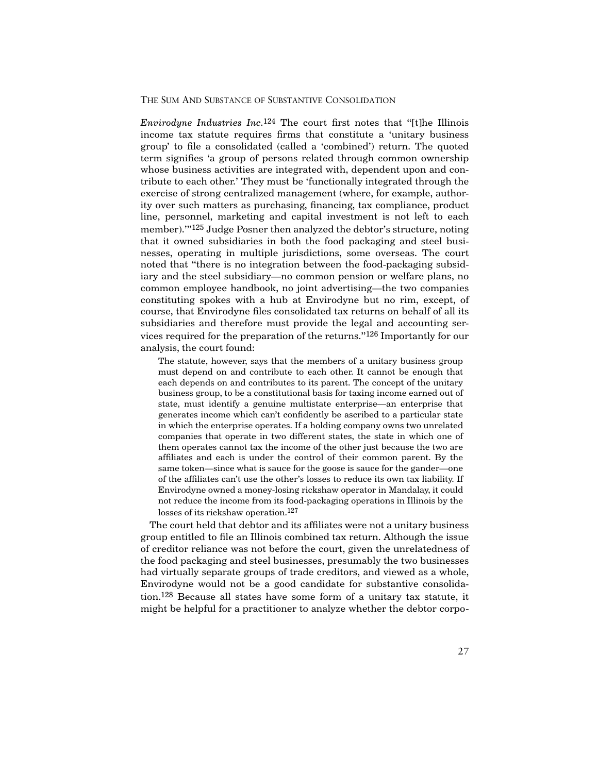*Envirodyne Industries Inc.*124 The court first notes that "[t]he Illinois income tax statute requires firms that constitute a 'unitary business group' to file a consolidated (called a 'combined') return. The quoted term signifies 'a group of persons related through common ownership whose business activities are integrated with, dependent upon and contribute to each other.' They must be 'functionally integrated through the exercise of strong centralized management (where, for example, authority over such matters as purchasing, financing, tax compliance, product line, personnel, marketing and capital investment is not left to each member).'"125 Judge Posner then analyzed the debtor's structure, noting that it owned subsidiaries in both the food packaging and steel businesses, operating in multiple jurisdictions, some overseas. The court noted that "there is no integration between the food-packaging subsidiary and the steel subsidiary—no common pension or welfare plans, no common employee handbook, no joint advertising—the two companies constituting spokes with a hub at Envirodyne but no rim, except, of course, that Envirodyne files consolidated tax returns on behalf of all its subsidiaries and therefore must provide the legal and accounting services required for the preparation of the returns."126 Importantly for our analysis, the court found:

The statute, however, says that the members of a unitary business group must depend on and contribute to each other. It cannot be enough that each depends on and contributes to its parent. The concept of the unitary business group, to be a constitutional basis for taxing income earned out of state, must identify a genuine multistate enterprise—an enterprise that generates income which can't confidently be ascribed to a particular state in which the enterprise operates. If a holding company owns two unrelated companies that operate in two different states, the state in which one of them operates cannot tax the income of the other just because the two are affiliates and each is under the control of their common parent. By the same token—since what is sauce for the goose is sauce for the gander—one of the affiliates can't use the other's losses to reduce its own tax liability. If Envirodyne owned a money-losing rickshaw operator in Mandalay, it could not reduce the income from its food-packaging operations in Illinois by the losses of its rickshaw operation.127

The court held that debtor and its affiliates were not a unitary business group entitled to file an Illinois combined tax return. Although the issue of creditor reliance was not before the court, given the unrelatedness of the food packaging and steel businesses, presumably the two businesses had virtually separate groups of trade creditors, and viewed as a whole, Envirodyne would not be a good candidate for substantive consolidation.128 Because all states have some form of a unitary tax statute, it might be helpful for a practitioner to analyze whether the debtor corpo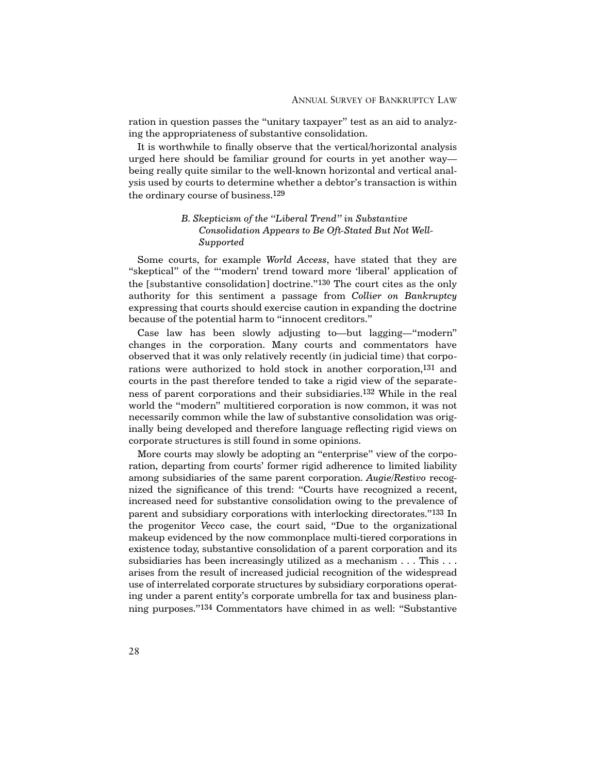ration in question passes the "unitary taxpayer" test as an aid to analyzing the appropriateness of substantive consolidation.

It is worthwhile to finally observe that the vertical/horizontal analysis urged here should be familiar ground for courts in yet another way being really quite similar to the well-known horizontal and vertical analysis used by courts to determine whether a debtor's transaction is within the ordinary course of business.129

## *B. Skepticism of the "Liberal Trend" in Substantive Consolidation Appears to Be Oft-Stated But Not Well-Supported*

Some courts, for example *World Access*, have stated that they are "skeptical" of the "'modern' trend toward more 'liberal' application of the [substantive consolidation] doctrine."130 The court cites as the only authority for this sentiment a passage from *Collier on Bankruptcy* expressing that courts should exercise caution in expanding the doctrine because of the potential harm to "innocent creditors."

Case law has been slowly adjusting to—but lagging—"modern" changes in the corporation. Many courts and commentators have observed that it was only relatively recently (in judicial time) that corporations were authorized to hold stock in another corporation,<sup>131</sup> and courts in the past therefore tended to take a rigid view of the separateness of parent corporations and their subsidiaries.132 While in the real world the "modern" multitiered corporation is now common, it was not necessarily common while the law of substantive consolidation was originally being developed and therefore language reflecting rigid views on corporate structures is still found in some opinions.

More courts may slowly be adopting an "enterprise" view of the corporation, departing from courts' former rigid adherence to limited liability among subsidiaries of the same parent corporation. *Augie/Restivo* recognized the significance of this trend: "Courts have recognized a recent, increased need for substantive consolidation owing to the prevalence of parent and subsidiary corporations with interlocking directorates."133 In the progenitor *Vecco* case, the court said, "Due to the organizational makeup evidenced by the now commonplace multi-tiered corporations in existence today, substantive consolidation of a parent corporation and its subsidiaries has been increasingly utilized as a mechanism . . . This . . . arises from the result of increased judicial recognition of the widespread use of interrelated corporate structures by subsidiary corporations operating under a parent entity's corporate umbrella for tax and business planning purposes."134 Commentators have chimed in as well: "Substantive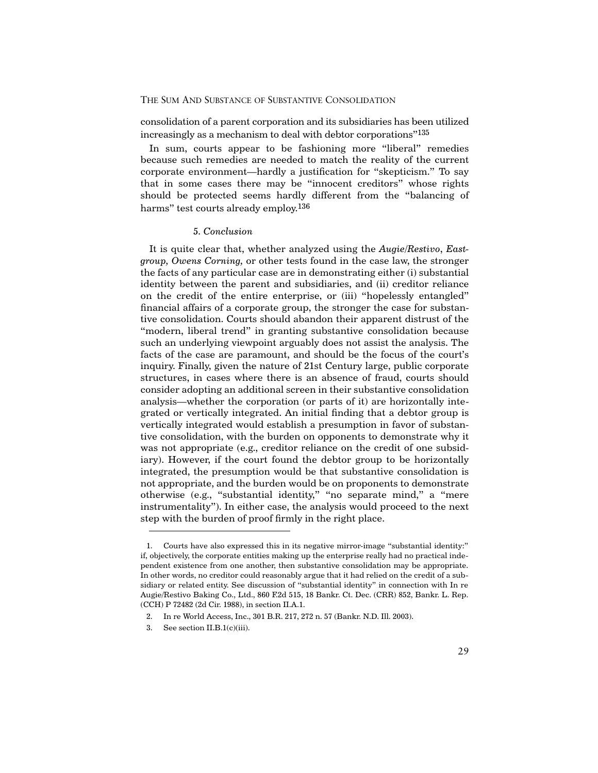consolidation of a parent corporation and its subsidiaries has been utilized increasingly as a mechanism to deal with debtor corporations"135

In sum, courts appear to be fashioning more "liberal" remedies because such remedies are needed to match the reality of the current corporate environment—hardly a justification for "skepticism." To say that in some cases there may be "innocent creditors" whose rights should be protected seems hardly different from the "balancing of harms" test courts already employ.<sup>136</sup>

#### *5. Conclusion*

It is quite clear that, whether analyzed using the *Augie/Restivo*, *Eastgroup, Owens Corning,* or other tests found in the case law, the stronger the facts of any particular case are in demonstrating either (i) substantial identity between the parent and subsidiaries, and (ii) creditor reliance on the credit of the entire enterprise, or (iii) "hopelessly entangled" financial affairs of a corporate group, the stronger the case for substantive consolidation. Courts should abandon their apparent distrust of the "modern, liberal trend" in granting substantive consolidation because such an underlying viewpoint arguably does not assist the analysis. The facts of the case are paramount, and should be the focus of the court's inquiry. Finally, given the nature of 21st Century large, public corporate structures, in cases where there is an absence of fraud, courts should consider adopting an additional screen in their substantive consolidation analysis—whether the corporation (or parts of it) are horizontally integrated or vertically integrated. An initial finding that a debtor group is vertically integrated would establish a presumption in favor of substantive consolidation, with the burden on opponents to demonstrate why it was not appropriate (e.g., creditor reliance on the credit of one subsidiary). However, if the court found the debtor group to be horizontally integrated, the presumption would be that substantive consolidation is not appropriate, and the burden would be on proponents to demonstrate otherwise (e.g., "substantial identity," "no separate mind," a "mere instrumentality"). In either case, the analysis would proceed to the next step with the burden of proof firmly in the right place.

<sup>1.</sup> Courts have also expressed this in its negative mirror-image "substantial identity:" if, objectively, the corporate entities making up the enterprise really had no practical independent existence from one another, then substantive consolidation may be appropriate. In other words, no creditor could reasonably argue that it had relied on the credit of a subsidiary or related entity. See discussion of "substantial identity" in connection with In re Augie/Restivo Baking Co., Ltd., 860 F.2d 515, 18 Bankr. Ct. Dec. (CRR) 852, Bankr. L. Rep. (CCH) P 72482 (2d Cir. 1988), in section II.A.1.

<sup>2.</sup> In re World Access, Inc., 301 B.R. 217, 272 n. 57 (Bankr. N.D. Ill. 2003).

<sup>3.</sup> See section II.B.1(c)(iii).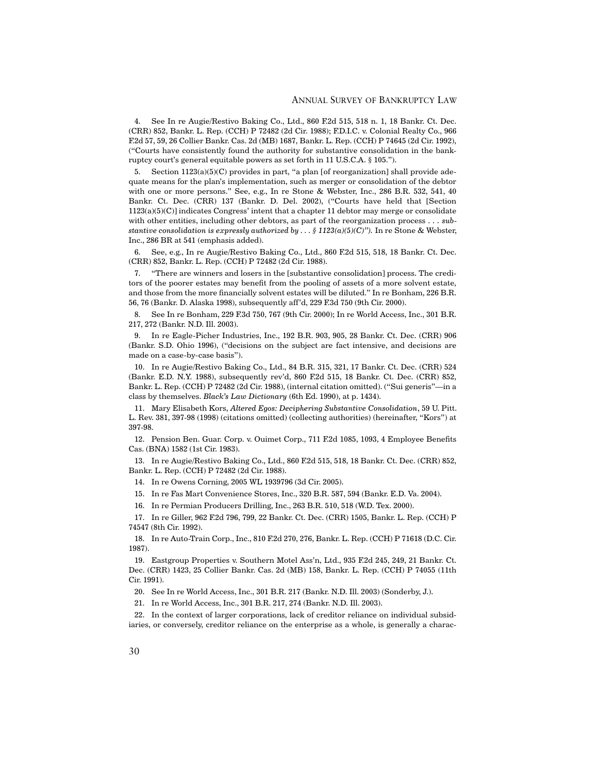4. See In re Augie/Restivo Baking Co., Ltd., 860 F.2d 515, 518 n. 1, 18 Bankr. Ct. Dec. (CRR) 852, Bankr. L. Rep. (CCH) P 72482 (2d Cir. 1988); F.D.I.C. v. Colonial Realty Co., 966 F.2d 57, 59, 26 Collier Bankr. Cas. 2d (MB) 1687, Bankr. L. Rep. (CCH) P 74645 (2d Cir. 1992), ("Courts have consistently found the authority for substantive consolidation in the bankruptcy court's general equitable powers as set forth in 11 U.S.C.A. § 105.").

5. Section 1123(a)(5)(C) provides in part, "a plan [of reorganization] shall provide adequate means for the plan's implementation, such as merger or consolidation of the debtor with one or more persons." See, e.g., In re Stone & Webster, Inc., 286 B.R. 532, 541, 40 Bankr. Ct. Dec. (CRR) 137 (Bankr. D. Del. 2002), ("Courts have held that [Section 1123(a)(5)(C)] indicates Congress' intent that a chapter 11 debtor may merge or consolidate with other entities, including other debtors, as part of the reorganization process . . . *substantive consolidation is expressly authorized by . . . § 1123(a)(5)(C)").* In re Stone & Webster, Inc., 286 BR at 541 (emphasis added).

6. See, e.g., In re Augie/Restivo Baking Co., Ltd., 860 F.2d 515, 518, 18 Bankr. Ct. Dec. (CRR) 852, Bankr. L. Rep. (CCH) P 72482 (2d Cir. 1988).

7. "There are winners and losers in the [substantive consolidation] process. The creditors of the poorer estates may benefit from the pooling of assets of a more solvent estate, and those from the more financially solvent estates will be diluted." In re Bonham, 226 B.R. 56, 76 (Bankr. D. Alaska 1998), subsequently aff'd, 229 F.3d 750 (9th Cir. 2000).

8. See In re Bonham, 229 F.3d 750, 767 (9th Cir. 2000); In re World Access, Inc., 301 B.R. 217, 272 (Bankr. N.D. Ill. 2003).

9. In re Eagle-Picher Industries, Inc., 192 B.R. 903, 905, 28 Bankr. Ct. Dec. (CRR) 906 (Bankr. S.D. Ohio 1996), ("decisions on the subject are fact intensive, and decisions are made on a case-by-case basis").

10. In re Augie/Restivo Baking Co., Ltd., 84 B.R. 315, 321, 17 Bankr. Ct. Dec. (CRR) 524 (Bankr. E.D. N.Y. 1988), subsequently rev'd, 860 F.2d 515, 18 Bankr. Ct. Dec. (CRR) 852, Bankr. L. Rep. (CCH) P 72482 (2d Cir. 1988), (internal citation omitted). ("Sui generis"—in a class by themselves. *Black's Law Dictionary* (6th Ed. 1990), at p. 1434).

11. Mary Elisabeth Kors, *Altered Egos: Deciphering Substantive Consolidation*, 59 U. Pitt. L. Rev. 381, 397-98 (1998) (citations omitted) (collecting authorities) (hereinafter, "Kors") at 397-98.

12. Pension Ben. Guar. Corp. v. Ouimet Corp., 711 F.2d 1085, 1093, 4 Employee Benefits Cas. (BNA) 1582 (1st Cir. 1983).

13. In re Augie/Restivo Baking Co., Ltd., 860 F.2d 515, 518, 18 Bankr. Ct. Dec. (CRR) 852, Bankr. L. Rep. (CCH) P 72482 (2d Cir. 1988).

14. In re Owens Corning, 2005 WL 1939796 (3d Cir. 2005).

15. In re Fas Mart Convenience Stores, Inc., 320 B.R. 587, 594 (Bankr. E.D. Va. 2004).

16. In re Permian Producers Drilling, Inc., 263 B.R. 510, 518 (W.D. Tex. 2000).

17. In re Giller, 962 F.2d 796, 799, 22 Bankr. Ct. Dec. (CRR) 1505, Bankr. L. Rep. (CCH) P 74547 (8th Cir. 1992).

18. In re Auto-Train Corp., Inc., 810 F.2d 270, 276, Bankr. L. Rep. (CCH) P 71618 (D.C. Cir. 1987).

19. Eastgroup Properties v. Southern Motel Ass'n, Ltd., 935 F.2d 245, 249, 21 Bankr. Ct. Dec. (CRR) 1423, 25 Collier Bankr. Cas. 2d (MB) 158, Bankr. L. Rep. (CCH) P 74055 (11th Cir. 1991).

20. See In re World Access, Inc., 301 B.R. 217 (Bankr. N.D. Ill. 2003) (Sonderby, J.).

21. In re World Access, Inc., 301 B.R. 217, 274 (Bankr. N.D. Ill. 2003).

22. In the context of larger corporations, lack of creditor reliance on individual subsidiaries, or conversely, creditor reliance on the enterprise as a whole, is generally a charac-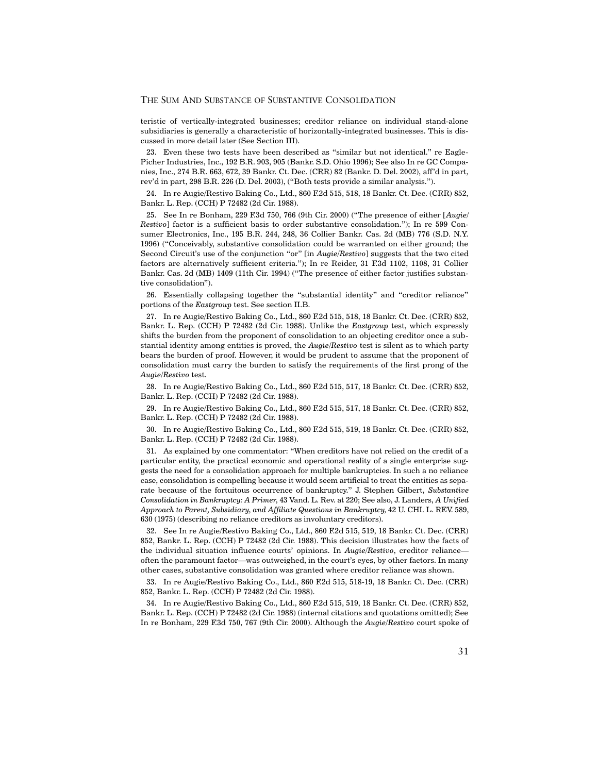teristic of vertically-integrated businesses; creditor reliance on individual stand-alone subsidiaries is generally a characteristic of horizontally-integrated businesses. This is discussed in more detail later (See Section III).

23. Even these two tests have been described as "similar but not identical." re Eagle-Picher Industries, Inc., 192 B.R. 903, 905 (Bankr. S.D. Ohio 1996); See also In re GC Companies, Inc., 274 B.R. 663, 672, 39 Bankr. Ct. Dec. (CRR) 82 (Bankr. D. Del. 2002), aff'd in part, rev'd in part, 298 B.R. 226 (D. Del. 2003), ("Both tests provide a similar analysis.").

24. In re Augie/Restivo Baking Co., Ltd., 860 F.2d 515, 518, 18 Bankr. Ct. Dec. (CRR) 852, Bankr. L. Rep. (CCH) P 72482 (2d Cir. 1988).

25. See In re Bonham, 229 F.3d 750, 766 (9th Cir. 2000) ("The presence of either [*Augie/ Restivo*] factor is a sufficient basis to order substantive consolidation."); In re 599 Consumer Electronics, Inc., 195 B.R. 244, 248, 36 Collier Bankr. Cas. 2d (MB) 776 (S.D. N.Y. 1996) ("Conceivably, substantive consolidation could be warranted on either ground; the Second Circuit's use of the conjunction "or" [in *Augie/Restivo*] suggests that the two cited factors are alternatively sufficient criteria."); In re Reider, 31 F.3d 1102, 1108, 31 Collier Bankr. Cas. 2d (MB) 1409 (11th Cir. 1994) ("The presence of either factor justifies substantive consolidation").

26. Essentially collapsing together the "substantial identity" and "creditor reliance" portions of the *Eastgroup* test. See section II.B.

27. In re Augie/Restivo Baking Co., Ltd., 860 F.2d 515, 518, 18 Bankr. Ct. Dec. (CRR) 852, Bankr. L. Rep. (CCH) P 72482 (2d Cir. 1988). Unlike the *Eastgroup* test, which expressly shifts the burden from the proponent of consolidation to an objecting creditor once a substantial identity among entities is proved, the *Augie/Restivo* test is silent as to which party bears the burden of proof. However, it would be prudent to assume that the proponent of consolidation must carry the burden to satisfy the requirements of the first prong of the *Augie/Restivo* test.

28. In re Augie/Restivo Baking Co., Ltd., 860 F.2d 515, 517, 18 Bankr. Ct. Dec. (CRR) 852, Bankr. L. Rep. (CCH) P 72482 (2d Cir. 1988).

29. In re Augie/Restivo Baking Co., Ltd., 860 F.2d 515, 517, 18 Bankr. Ct. Dec. (CRR) 852, Bankr. L. Rep. (CCH) P 72482 (2d Cir. 1988).

30. In re Augie/Restivo Baking Co., Ltd., 860 F.2d 515, 519, 18 Bankr. Ct. Dec. (CRR) 852, Bankr. L. Rep. (CCH) P 72482 (2d Cir. 1988).

31. As explained by one commentator: "When creditors have not relied on the credit of a particular entity, the practical economic and operational reality of a single enterprise suggests the need for a consolidation approach for multiple bankruptcies. In such a no reliance case, consolidation is compelling because it would seem artificial to treat the entities as separate because of the fortuitous occurrence of bankruptcy." J. Stephen Gilbert, *Substantive Consolidation in Bankruptcy: A Primer*, 43 Vand. L. Rev. at 220; See also, J. Landers, *A Unified Approach to Parent, Subsidiary, and Affiliate Questions in Bankruptcy*, 42 U. CHI. L. REV. 589, 630 (1975) (describing no reliance creditors as involuntary creditors).

32. See In re Augie/Restivo Baking Co., Ltd., 860 F.2d 515, 519, 18 Bankr. Ct. Dec. (CRR) 852, Bankr. L. Rep. (CCH) P 72482 (2d Cir. 1988). This decision illustrates how the facts of the individual situation influence courts' opinions. In *Augie/Restivo*, creditor reliance often the paramount factor—was outweighed, in the court's eyes, by other factors. In many other cases, substantive consolidation was granted where creditor reliance was shown.

33. In re Augie/Restivo Baking Co., Ltd., 860 F.2d 515, 518-19, 18 Bankr. Ct. Dec. (CRR) 852, Bankr. L. Rep. (CCH) P 72482 (2d Cir. 1988).

34. In re Augie/Restivo Baking Co., Ltd., 860 F.2d 515, 519, 18 Bankr. Ct. Dec. (CRR) 852, Bankr. L. Rep. (CCH) P 72482 (2d Cir. 1988) (internal citations and quotations omitted); See In re Bonham, 229 F.3d 750, 767 (9th Cir. 2000). Although the *Augie/Restivo* court spoke of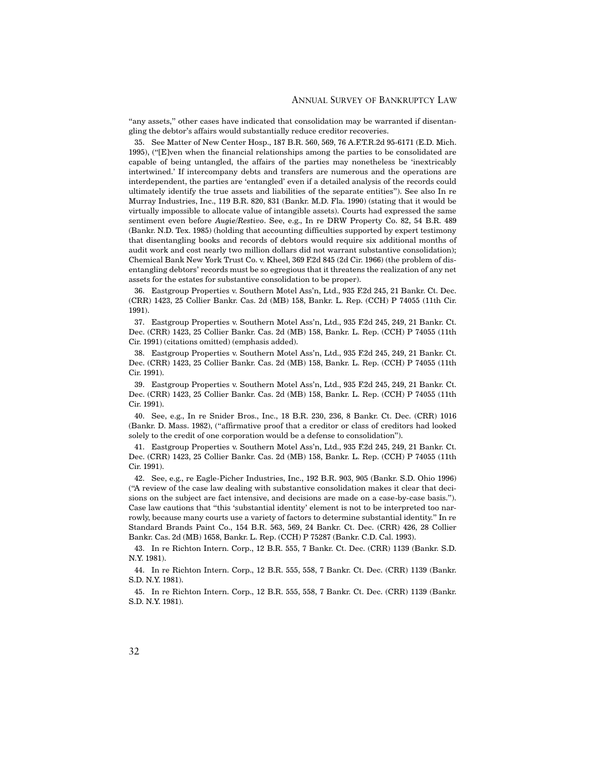"any assets," other cases have indicated that consolidation may be warranted if disentangling the debtor's affairs would substantially reduce creditor recoveries.

35. See Matter of New Center Hosp., 187 B.R. 560, 569, 76 A.F.T.R.2d 95-6171 (E.D. Mich. 1995), ("[E]ven when the financial relationships among the parties to be consolidated are capable of being untangled, the affairs of the parties may nonetheless be 'inextricably intertwined.' If intercompany debts and transfers are numerous and the operations are interdependent, the parties are 'entangled' even if a detailed analysis of the records could ultimately identify the true assets and liabilities of the separate entities"). See also In re Murray Industries, Inc., 119 B.R. 820, 831 (Bankr. M.D. Fla. 1990) (stating that it would be virtually impossible to allocate value of intangible assets). Courts had expressed the same sentiment even before *Augie/Restivo*. See, e.g., In re DRW Property Co. 82, 54 B.R. 489 (Bankr. N.D. Tex. 1985) (holding that accounting difficulties supported by expert testimony that disentangling books and records of debtors would require six additional months of audit work and cost nearly two million dollars did not warrant substantive consolidation); Chemical Bank New York Trust Co. v. Kheel, 369 F.2d 845 (2d Cir. 1966) (the problem of disentangling debtors' records must be so egregious that it threatens the realization of any net assets for the estates for substantive consolidation to be proper).

36. Eastgroup Properties v. Southern Motel Ass'n, Ltd., 935 F.2d 245, 21 Bankr. Ct. Dec. (CRR) 1423, 25 Collier Bankr. Cas. 2d (MB) 158, Bankr. L. Rep. (CCH) P 74055 (11th Cir. 1991).

37. Eastgroup Properties v. Southern Motel Ass'n, Ltd., 935 F.2d 245, 249, 21 Bankr. Ct. Dec. (CRR) 1423, 25 Collier Bankr. Cas. 2d (MB) 158, Bankr. L. Rep. (CCH) P 74055 (11th Cir. 1991) (citations omitted) (emphasis added).

38. Eastgroup Properties v. Southern Motel Ass'n, Ltd., 935 F.2d 245, 249, 21 Bankr. Ct. Dec. (CRR) 1423, 25 Collier Bankr. Cas. 2d (MB) 158, Bankr. L. Rep. (CCH) P 74055 (11th Cir. 1991).

39. Eastgroup Properties v. Southern Motel Ass'n, Ltd., 935 F.2d 245, 249, 21 Bankr. Ct. Dec. (CRR) 1423, 25 Collier Bankr. Cas. 2d (MB) 158, Bankr. L. Rep. (CCH) P 74055 (11th Cir. 1991).

40. See, e.g., In re Snider Bros., Inc., 18 B.R. 230, 236, 8 Bankr. Ct. Dec. (CRR) 1016 (Bankr. D. Mass. 1982), ("affirmative proof that a creditor or class of creditors had looked solely to the credit of one corporation would be a defense to consolidation").

41. Eastgroup Properties v. Southern Motel Ass'n, Ltd., 935 F.2d 245, 249, 21 Bankr. Ct. Dec. (CRR) 1423, 25 Collier Bankr. Cas. 2d (MB) 158, Bankr. L. Rep. (CCH) P 74055 (11th Cir. 1991).

42. See, e.g., re Eagle-Picher Industries, Inc., 192 B.R. 903, 905 (Bankr. S.D. Ohio 1996) ("A review of the case law dealing with substantive consolidation makes it clear that decisions on the subject are fact intensive, and decisions are made on a case-by-case basis."). Case law cautions that "this 'substantial identity' element is not to be interpreted too narrowly, because many courts use a variety of factors to determine substantial identity." In re Standard Brands Paint Co., 154 B.R. 563, 569, 24 Bankr. Ct. Dec. (CRR) 426, 28 Collier Bankr. Cas. 2d (MB) 1658, Bankr. L. Rep. (CCH) P 75287 (Bankr. C.D. Cal. 1993).

43. In re Richton Intern. Corp., 12 B.R. 555, 7 Bankr. Ct. Dec. (CRR) 1139 (Bankr. S.D. N.Y. 1981).

44. In re Richton Intern. Corp., 12 B.R. 555, 558, 7 Bankr. Ct. Dec. (CRR) 1139 (Bankr. S.D. N.Y. 1981).

45. In re Richton Intern. Corp., 12 B.R. 555, 558, 7 Bankr. Ct. Dec. (CRR) 1139 (Bankr. S.D. N.Y. 1981).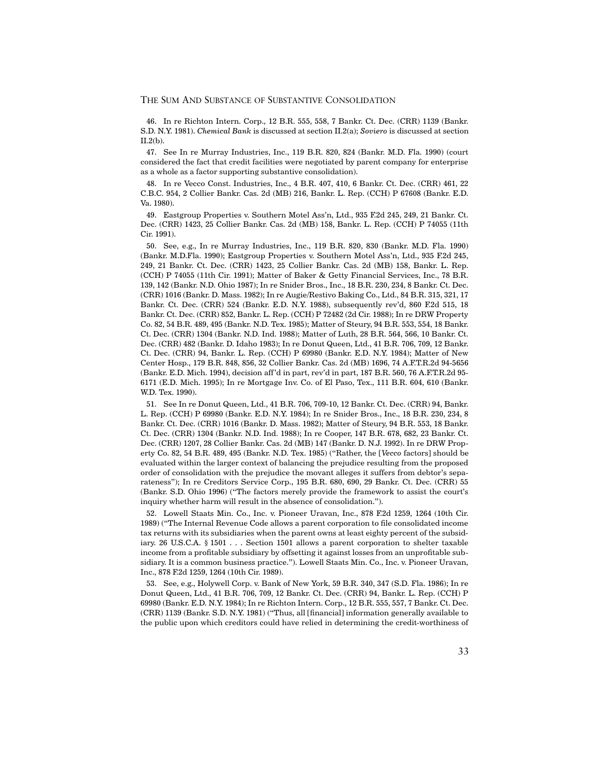46. In re Richton Intern. Corp., 12 B.R. 555, 558, 7 Bankr. Ct. Dec. (CRR) 1139 (Bankr. S.D. N.Y. 1981). *Chemical Bank* is discussed at section II.2(a); *Soviero* is discussed at section II.2(b).

47. See In re Murray Industries, Inc., 119 B.R. 820, 824 (Bankr. M.D. Fla. 1990) (court considered the fact that credit facilities were negotiated by parent company for enterprise as a whole as a factor supporting substantive consolidation).

48. In re Vecco Const. Industries, Inc., 4 B.R. 407, 410, 6 Bankr. Ct. Dec. (CRR) 461, 22 C.B.C. 954, 2 Collier Bankr. Cas. 2d (MB) 216, Bankr. L. Rep. (CCH) P 67608 (Bankr. E.D. Va. 1980).

49. Eastgroup Properties v. Southern Motel Ass'n, Ltd., 935 F.2d 245, 249, 21 Bankr. Ct. Dec. (CRR) 1423, 25 Collier Bankr. Cas. 2d (MB) 158, Bankr. L. Rep. (CCH) P 74055 (11th Cir. 1991).

50. See, e.g., In re Murray Industries, Inc., 119 B.R. 820, 830 (Bankr. M.D. Fla. 1990) (Bankr. M.D.Fla. 1990); Eastgroup Properties v. Southern Motel Ass'n, Ltd., 935 F.2d 245, 249, 21 Bankr. Ct. Dec. (CRR) 1423, 25 Collier Bankr. Cas. 2d (MB) 158, Bankr. L. Rep. (CCH) P 74055 (11th Cir. 1991); Matter of Baker & Getty Financial Services, Inc., 78 B.R. 139, 142 (Bankr. N.D. Ohio 1987); In re Snider Bros., Inc., 18 B.R. 230, 234, 8 Bankr. Ct. Dec. (CRR) 1016 (Bankr. D. Mass. 1982); In re Augie/Restivo Baking Co., Ltd., 84 B.R. 315, 321, 17 Bankr. Ct. Dec. (CRR) 524 (Bankr. E.D. N.Y. 1988), subsequently rev'd, 860 F.2d 515, 18 Bankr. Ct. Dec. (CRR) 852, Bankr. L. Rep. (CCH) P 72482 (2d Cir. 1988); In re DRW Property Co. 82, 54 B.R. 489, 495 (Bankr. N.D. Tex. 1985); Matter of Steury, 94 B.R. 553, 554, 18 Bankr. Ct. Dec. (CRR) 1304 (Bankr. N.D. Ind. 1988); Matter of Luth, 28 B.R. 564, 566, 10 Bankr. Ct. Dec. (CRR) 482 (Bankr. D. Idaho 1983); In re Donut Queen, Ltd., 41 B.R. 706, 709, 12 Bankr. Ct. Dec. (CRR) 94, Bankr. L. Rep. (CCH) P 69980 (Bankr. E.D. N.Y. 1984); Matter of New Center Hosp., 179 B.R. 848, 856, 32 Collier Bankr. Cas. 2d (MB) 1696, 74 A.F.T.R.2d 94-5656 (Bankr. E.D. Mich. 1994), decision aff'd in part, rev'd in part, 187 B.R. 560, 76 A.F.T.R.2d 95- 6171 (E.D. Mich. 1995); In re Mortgage Inv. Co. of El Paso, Tex., 111 B.R. 604, 610 (Bankr. W.D. Tex. 1990).

51. See In re Donut Queen, Ltd., 41 B.R. 706, 709-10, 12 Bankr. Ct. Dec. (CRR) 94, Bankr. L. Rep. (CCH) P 69980 (Bankr. E.D. N.Y. 1984); In re Snider Bros., Inc., 18 B.R. 230, 234, 8 Bankr. Ct. Dec. (CRR) 1016 (Bankr. D. Mass. 1982); Matter of Steury, 94 B.R. 553, 18 Bankr. Ct. Dec. (CRR) 1304 (Bankr. N.D. Ind. 1988); In re Cooper, 147 B.R. 678, 682, 23 Bankr. Ct. Dec. (CRR) 1207, 28 Collier Bankr. Cas. 2d (MB) 147 (Bankr. D. N.J. 1992). In re DRW Property Co. 82, 54 B.R. 489, 495 (Bankr. N.D. Tex. 1985) ("Rather, the [*Vecco* factors] should be evaluated within the larger context of balancing the prejudice resulting from the proposed order of consolidation with the prejudice the movant alleges it suffers from debtor's separateness"); In re Creditors Service Corp., 195 B.R. 680, 690, 29 Bankr. Ct. Dec. (CRR) 55 (Bankr. S.D. Ohio 1996) ("The factors merely provide the framework to assist the court's inquiry whether harm will result in the absence of consolidation.").

52. Lowell Staats Min. Co., Inc. v. Pioneer Uravan, Inc., 878 F.2d 1259, 1264 (10th Cir. 1989) ("The Internal Revenue Code allows a parent corporation to file consolidated income tax returns with its subsidiaries when the parent owns at least eighty percent of the subsidiary. 26 U.S.C.A. § 1501 . . . Section 1501 allows a parent corporation to shelter taxable income from a profitable subsidiary by offsetting it against losses from an unprofitable subsidiary. It is a common business practice."). Lowell Staats Min. Co., Inc. v. Pioneer Uravan, Inc., 878 F.2d 1259, 1264 (10th Cir. 1989).

53. See, e.g., Holywell Corp. v. Bank of New York, 59 B.R. 340, 347 (S.D. Fla. 1986); In re Donut Queen, Ltd., 41 B.R. 706, 709, 12 Bankr. Ct. Dec. (CRR) 94, Bankr. L. Rep. (CCH) P 69980 (Bankr. E.D. N.Y. 1984); In re Richton Intern. Corp., 12 B.R. 555, 557, 7 Bankr. Ct. Dec. (CRR) 1139 (Bankr. S.D. N.Y. 1981) ("Thus, all [financial] information generally available to the public upon which creditors could have relied in determining the credit-worthiness of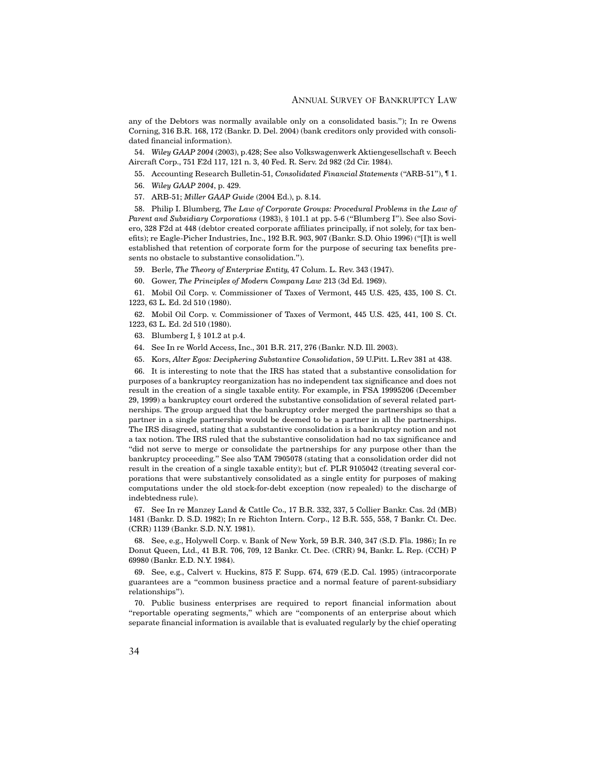any of the Debtors was normally available only on a consolidated basis."); In re Owens Corning, 316 B.R. 168, 172 (Bankr. D. Del. 2004) (bank creditors only provided with consolidated financial information).

54. *Wiley GAAP 2004* (2003), p.428; See also Volkswagenwerk Aktiengesellschaft v. Beech Aircraft Corp., 751 F.2d 117, 121 n. 3, 40 Fed. R. Serv. 2d 982 (2d Cir. 1984).

55. Accounting Research Bulletin-51, *Consolidated Financial Statements* ("ARB-51"), ¶ 1.

56. *Wiley GAAP 2004*, p. 429.

57. ARB-51; *Miller GAAP Guide* (2004 Ed.), p. 8.14.

58. Philip I. Blumberg, *The Law of Corporate Groups: Procedural Problems in the Law of Parent and Subsidiary Corporations* (1983), § 101.1 at pp. 5-6 ("Blumberg I"). See also Soviero, 328 F2d at 448 (debtor created corporate affiliates principally, if not solely, for tax benefits); re Eagle-Picher Industries, Inc., 192 B.R. 903, 907 (Bankr. S.D. Ohio 1996) ("[I]t is well established that retention of corporate form for the purpose of securing tax benefits presents no obstacle to substantive consolidation.").

59. Berle, *The Theory of Enterprise Entity*, 47 Colum. L. Rev. 343 (1947).

60. Gower, *The Principles of Modern Company Law* 213 (3d Ed. 1969).

61. Mobil Oil Corp. v. Commissioner of Taxes of Vermont, 445 U.S. 425, 435, 100 S. Ct. 1223, 63 L. Ed. 2d 510 (1980).

62. Mobil Oil Corp. v. Commissioner of Taxes of Vermont, 445 U.S. 425, 441, 100 S. Ct. 1223, 63 L. Ed. 2d 510 (1980).

63. Blumberg I, § 101.2 at p.4.

64. See In re World Access, Inc., 301 B.R. 217, 276 (Bankr. N.D. Ill. 2003).

65. Kors, *Alter Egos: Deciphering Substantive Consolidation*, 59 U.Pitt. L.Rev 381 at 438.

66. It is interesting to note that the IRS has stated that a substantive consolidation for purposes of a bankruptcy reorganization has no independent tax significance and does not result in the creation of a single taxable entity. For example, in FSA 19995206 (December 29, 1999) a bankruptcy court ordered the substantive consolidation of several related partnerships. The group argued that the bankruptcy order merged the partnerships so that a partner in a single partnership would be deemed to be a partner in all the partnerships. The IRS disagreed, stating that a substantive consolidation is a bankruptcy notion and not a tax notion. The IRS ruled that the substantive consolidation had no tax significance and "did not serve to merge or consolidate the partnerships for any purpose other than the bankruptcy proceeding." See also TAM 7905078 (stating that a consolidation order did not result in the creation of a single taxable entity); but cf. PLR 9105042 (treating several corporations that were substantively consolidated as a single entity for purposes of making computations under the old stock-for-debt exception (now repealed) to the discharge of indebtedness rule).

67. See In re Manzey Land & Cattle Co., 17 B.R. 332, 337, 5 Collier Bankr. Cas. 2d (MB) 1481 (Bankr. D. S.D. 1982); In re Richton Intern. Corp., 12 B.R. 555, 558, 7 Bankr. Ct. Dec. (CRR) 1139 (Bankr. S.D. N.Y. 1981).

68. See, e.g., Holywell Corp. v. Bank of New York, 59 B.R. 340, 347 (S.D. Fla. 1986); In re Donut Queen, Ltd., 41 B.R. 706, 709, 12 Bankr. Ct. Dec. (CRR) 94, Bankr. L. Rep. (CCH) P 69980 (Bankr. E.D. N.Y. 1984).

69. See, e.g., Calvert v. Huckins, 875 F. Supp. 674, 679 (E.D. Cal. 1995) (intracorporate guarantees are a "common business practice and a normal feature of parent-subsidiary relationships").

70. Public business enterprises are required to report financial information about "reportable operating segments," which are "components of an enterprise about which separate financial information is available that is evaluated regularly by the chief operating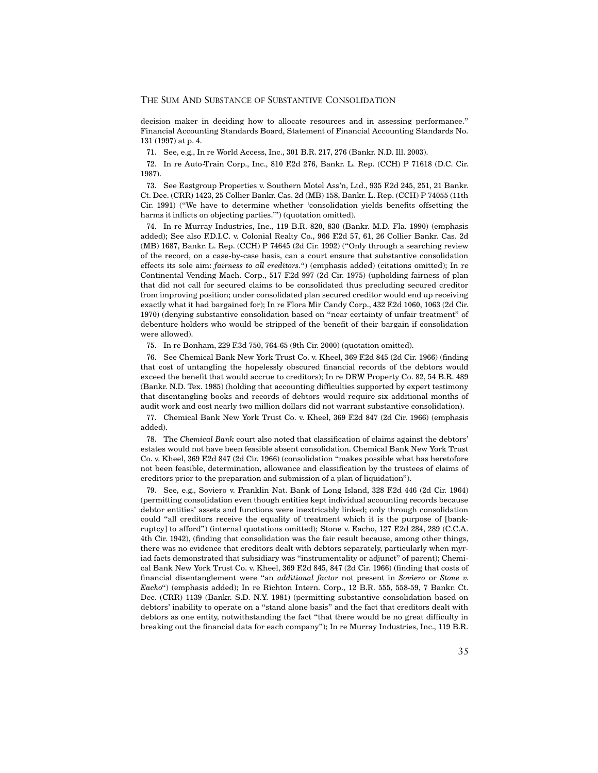decision maker in deciding how to allocate resources and in assessing performance." Financial Accounting Standards Board, Statement of Financial Accounting Standards No. 131 (1997) at p. 4.

71. See, e.g., In re World Access, Inc., 301 B.R. 217, 276 (Bankr. N.D. Ill. 2003).

72. In re Auto-Train Corp., Inc., 810 F.2d 276, Bankr. L. Rep. (CCH) P 71618 (D.C. Cir. 1987).

73. See Eastgroup Properties v. Southern Motel Ass'n, Ltd., 935 F.2d 245, 251, 21 Bankr. Ct. Dec. (CRR) 1423, 25 Collier Bankr. Cas. 2d (MB) 158, Bankr. L. Rep. (CCH) P 74055 (11th Cir. 1991) ("We have to determine whether 'consolidation yields benefits offsetting the harms it inflicts on objecting parties.'") (quotation omitted).

74. In re Murray Industries, Inc., 119 B.R. 820, 830 (Bankr. M.D. Fla. 1990) (emphasis added); See also F.D.I.C. v. Colonial Realty Co., 966 F.2d 57, 61, 26 Collier Bankr. Cas. 2d (MB) 1687, Bankr. L. Rep. (CCH) P 74645 (2d Cir. 1992) ("Only through a searching review of the record, on a case-by-case basis, can a court ensure that substantive consolidation effects its sole aim: *fairness to all creditors.*") (emphasis added) (citations omitted); In re Continental Vending Mach. Corp., 517 F.2d 997 (2d Cir. 1975) (upholding fairness of plan that did not call for secured claims to be consolidated thus precluding secured creditor from improving position; under consolidated plan secured creditor would end up receiving exactly what it had bargained for); In re Flora Mir Candy Corp., 432 F.2d 1060, 1063 (2d Cir. 1970) (denying substantive consolidation based on "near certainty of unfair treatment" of debenture holders who would be stripped of the benefit of their bargain if consolidation were allowed).

75. In re Bonham, 229 F.3d 750, 764-65 (9th Cir. 2000) (quotation omitted).

76. See Chemical Bank New York Trust Co. v. Kheel, 369 F.2d 845 (2d Cir. 1966) (finding that cost of untangling the hopelessly obscured financial records of the debtors would exceed the benefit that would accrue to creditors); In re DRW Property Co. 82, 54 B.R. 489 (Bankr. N.D. Tex. 1985) (holding that accounting difficulties supported by expert testimony that disentangling books and records of debtors would require six additional months of audit work and cost nearly two million dollars did not warrant substantive consolidation).

77. Chemical Bank New York Trust Co. v. Kheel, 369 F.2d 847 (2d Cir. 1966) (emphasis added).

78. The *Chemical Bank* court also noted that classification of claims against the debtors' estates would not have been feasible absent consolidation. Chemical Bank New York Trust Co. v. Kheel, 369 F.2d 847 (2d Cir. 1966) (consolidation "makes possible what has heretofore not been feasible, determination, allowance and classification by the trustees of claims of creditors prior to the preparation and submission of a plan of liquidation").

79. See, e.g., Soviero v. Franklin Nat. Bank of Long Island, 328 F.2d 446 (2d Cir. 1964) (permitting consolidation even though entities kept individual accounting records because debtor entities' assets and functions were inextricably linked; only through consolidation could "all creditors receive the equality of treatment which it is the purpose of [bankruptcy] to afford") (internal quotations omitted); Stone v. Eacho, 127 F.2d 284, 289 (C.C.A. 4th Cir. 1942), (finding that consolidation was the fair result because, among other things, there was no evidence that creditors dealt with debtors separately, particularly when myriad facts demonstrated that subsidiary was "instrumentality or adjunct" of parent); Chemical Bank New York Trust Co. v. Kheel, 369 F.2d 845, 847 (2d Cir. 1966) (finding that costs of financial disentanglement were "an *additional factor* not present in *Soviero* or *Stone v. Eacho*") (emphasis added); In re Richton Intern. Corp., 12 B.R. 555, 558-59, 7 Bankr. Ct. Dec. (CRR) 1139 (Bankr. S.D. N.Y. 1981) (permitting substantive consolidation based on debtors' inability to operate on a "stand alone basis" and the fact that creditors dealt with debtors as one entity, notwithstanding the fact "that there would be no great difficulty in breaking out the financial data for each company"); In re Murray Industries, Inc., 119 B.R.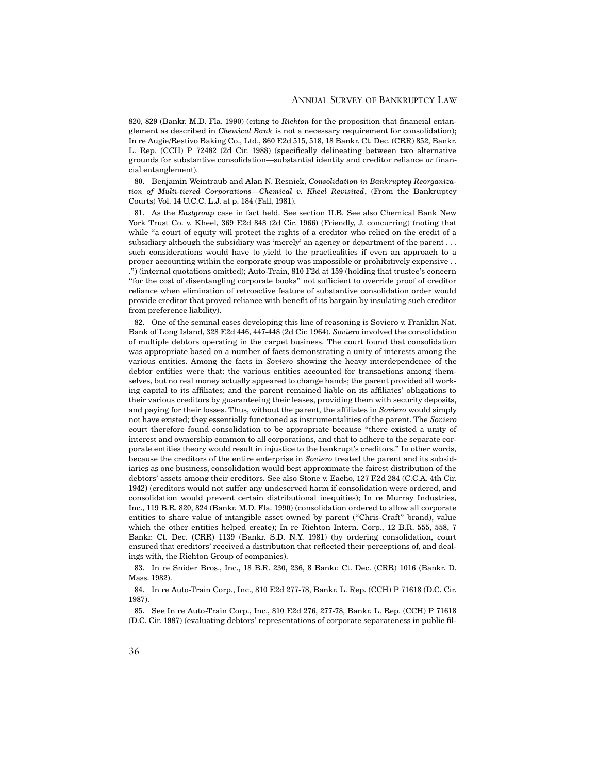820, 829 (Bankr. M.D. Fla. 1990) (citing to *Richton* for the proposition that financial entanglement as described in *Chemical Bank* is not a necessary requirement for consolidation); In re Augie/Restivo Baking Co., Ltd., 860 F.2d 515, 518, 18 Bankr. Ct. Dec. (CRR) 852, Bankr. L. Rep. (CCH) P 72482 (2d Cir. 1988) (specifically delineating between two alternative grounds for substantive consolidation—substantial identity and creditor reliance *or* financial entanglement).

80. Benjamin Weintraub and Alan N. Resnick, *Consolidation in Bankruptcy Reorganization of Multi-tiered Corporations—Chemical v. Kheel Revisited*, (From the Bankruptcy Courts) Vol. 14 U.C.C. L.J. at p. 184 (Fall, 1981).

81. As the *Eastgroup* case in fact held. See section II.B. See also Chemical Bank New York Trust Co. v. Kheel, 369 F.2d 848 (2d Cir. 1966) (Friendly, J. concurring) (noting that while "a court of equity will protect the rights of a creditor who relied on the credit of a subsidiary although the subsidiary was 'merely' an agency or department of the parent . . . such considerations would have to yield to the practicalities if even an approach to a proper accounting within the corporate group was impossible or prohibitively expensive . . .") (internal quotations omitted); Auto-Train, 810 F2d at 159 (holding that trustee's concern "for the cost of disentangling corporate books" not sufficient to override proof of creditor reliance when elimination of retroactive feature of substantive consolidation order would provide creditor that proved reliance with benefit of its bargain by insulating such creditor from preference liability).

82. One of the seminal cases developing this line of reasoning is Soviero v. Franklin Nat. Bank of Long Island, 328 F.2d 446, 447-448 (2d Cir. 1964). *Soviero* involved the consolidation of multiple debtors operating in the carpet business. The court found that consolidation was appropriate based on a number of facts demonstrating a unity of interests among the various entities. Among the facts in *Soviero* showing the heavy interdependence of the debtor entities were that: the various entities accounted for transactions among themselves, but no real money actually appeared to change hands; the parent provided all working capital to its affiliates; and the parent remained liable on its affiliates' obligations to their various creditors by guaranteeing their leases, providing them with security deposits, and paying for their losses. Thus, without the parent, the affiliates in *Soviero* would simply not have existed; they essentially functioned as instrumentalities of the parent. The *Soviero* court therefore found consolidation to be appropriate because "there existed a unity of interest and ownership common to all corporations, and that to adhere to the separate corporate entities theory would result in injustice to the bankrupt's creditors." In other words, because the creditors of the entire enterprise in *Soviero* treated the parent and its subsidiaries as one business, consolidation would best approximate the fairest distribution of the debtors' assets among their creditors. See also Stone v. Eacho, 127 F.2d 284 (C.C.A. 4th Cir. 1942) (creditors would not suffer any undeserved harm if consolidation were ordered, and consolidation would prevent certain distributional inequities); In re Murray Industries, Inc., 119 B.R. 820, 824 (Bankr. M.D. Fla. 1990) (consolidation ordered to allow all corporate entities to share value of intangible asset owned by parent ("Chris-Craft" brand), value which the other entities helped create); In re Richton Intern. Corp., 12 B.R. 555, 558, 7 Bankr. Ct. Dec. (CRR) 1139 (Bankr. S.D. N.Y. 1981) (by ordering consolidation, court ensured that creditors' received a distribution that reflected their perceptions of, and dealings with, the Richton Group of companies).

83. In re Snider Bros., Inc., 18 B.R. 230, 236, 8 Bankr. Ct. Dec. (CRR) 1016 (Bankr. D. Mass. 1982).

84. In re Auto-Train Corp., Inc., 810 F.2d 277-78, Bankr. L. Rep. (CCH) P 71618 (D.C. Cir. 1987).

85. See In re Auto-Train Corp., Inc., 810 F.2d 276, 277-78, Bankr. L. Rep. (CCH) P 71618 (D.C. Cir. 1987) (evaluating debtors' representations of corporate separateness in public fil-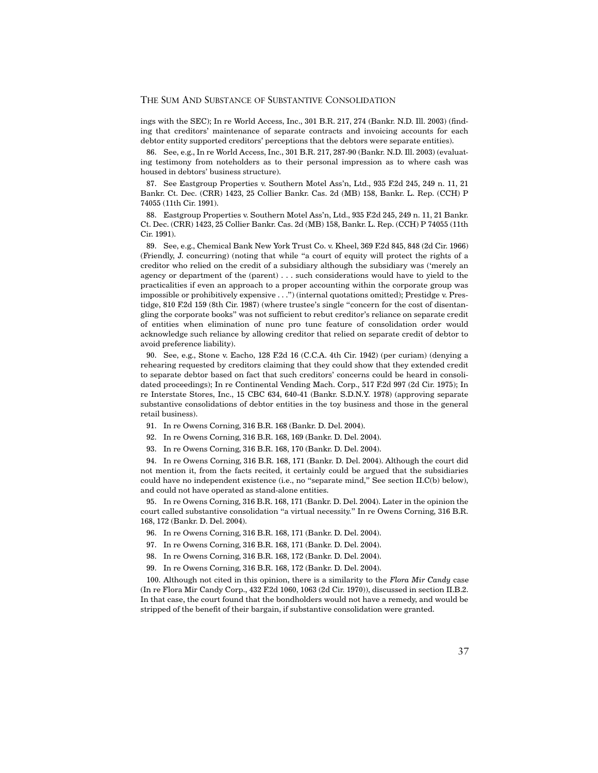ings with the SEC); In re World Access, Inc., 301 B.R. 217, 274 (Bankr. N.D. Ill. 2003) (finding that creditors' maintenance of separate contracts and invoicing accounts for each debtor entity supported creditors' perceptions that the debtors were separate entities).

86. See, e.g., In re World Access, Inc., 301 B.R. 217, 287-90 (Bankr. N.D. Ill. 2003) (evaluating testimony from noteholders as to their personal impression as to where cash was housed in debtors' business structure).

87. See Eastgroup Properties v. Southern Motel Ass'n, Ltd., 935 F.2d 245, 249 n. 11, 21 Bankr. Ct. Dec. (CRR) 1423, 25 Collier Bankr. Cas. 2d (MB) 158, Bankr. L. Rep. (CCH) P 74055 (11th Cir. 1991).

88. Eastgroup Properties v. Southern Motel Ass'n, Ltd., 935 F.2d 245, 249 n. 11, 21 Bankr. Ct. Dec. (CRR) 1423, 25 Collier Bankr. Cas. 2d (MB) 158, Bankr. L. Rep. (CCH) P 74055 (11th Cir. 1991).

89. See, e.g., Chemical Bank New York Trust Co. v. Kheel, 369 F.2d 845, 848 (2d Cir. 1966) (Friendly, J. concurring) (noting that while "a court of equity will protect the rights of a creditor who relied on the credit of a subsidiary although the subsidiary was ('merely an agency or department of the (parent) . . . such considerations would have to yield to the practicalities if even an approach to a proper accounting within the corporate group was impossible or prohibitively expensive . . .") (internal quotations omitted); Prestidge v. Prestidge, 810 F.2d 159 (8th Cir. 1987) (where trustee's single "concern for the cost of disentangling the corporate books" was not sufficient to rebut creditor's reliance on separate credit of entities when elimination of nunc pro tunc feature of consolidation order would acknowledge such reliance by allowing creditor that relied on separate credit of debtor to avoid preference liability).

90. See, e.g., Stone v. Eacho, 128 F.2d 16 (C.C.A. 4th Cir. 1942) (per curiam) (denying a rehearing requested by creditors claiming that they could show that they extended credit to separate debtor based on fact that such creditors' concerns could be heard in consolidated proceedings); In re Continental Vending Mach. Corp., 517 F.2d 997 (2d Cir. 1975); In re Interstate Stores, Inc., 15 CBC 634, 640-41 (Bankr. S.D.N.Y. 1978) (approving separate substantive consolidations of debtor entities in the toy business and those in the general retail business).

- 91. In re Owens Corning, 316 B.R. 168 (Bankr. D. Del. 2004).
- 92. In re Owens Corning, 316 B.R. 168, 169 (Bankr. D. Del. 2004).
- 93. In re Owens Corning, 316 B.R. 168, 170 (Bankr. D. Del. 2004).

94. In re Owens Corning, 316 B.R. 168, 171 (Bankr. D. Del. 2004). Although the court did not mention it, from the facts recited, it certainly could be argued that the subsidiaries could have no independent existence (i.e., no "separate mind," See section II.C(b) below), and could not have operated as stand-alone entities.

95. In re Owens Corning, 316 B.R. 168, 171 (Bankr. D. Del. 2004). Later in the opinion the court called substantive consolidation "a virtual necessity." In re Owens Corning, 316 B.R. 168, 172 (Bankr. D. Del. 2004).

- 96. In re Owens Corning, 316 B.R. 168, 171 (Bankr. D. Del. 2004).
- 97. In re Owens Corning, 316 B.R. 168, 171 (Bankr. D. Del. 2004).
- 98. In re Owens Corning, 316 B.R. 168, 172 (Bankr. D. Del. 2004).
- 99. In re Owens Corning, 316 B.R. 168, 172 (Bankr. D. Del. 2004).

100. Although not cited in this opinion, there is a similarity to the *Flora Mir Candy* case (In re Flora Mir Candy Corp., 432 F.2d 1060, 1063 (2d Cir. 1970)), discussed in section II.B.2. In that case, the court found that the bondholders would not have a remedy, and would be stripped of the benefit of their bargain, if substantive consolidation were granted.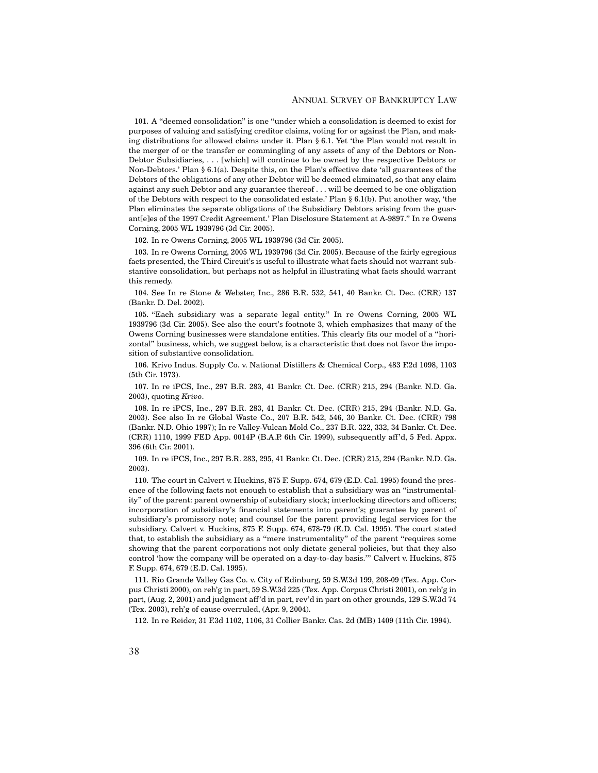#### ANNUAL SURVEY OF BANKRUPTCY LAW

101. A "deemed consolidation" is one "under which a consolidation is deemed to exist for purposes of valuing and satisfying creditor claims, voting for or against the Plan, and making distributions for allowed claims under it. Plan § 6.1. Yet 'the Plan would not result in the merger of or the transfer or commingling of any assets of any of the Debtors or Non-Debtor Subsidiaries, . . . [which] will continue to be owned by the respective Debtors or Non-Debtors.' Plan § 6.1(a). Despite this, on the Plan's effective date 'all guarantees of the Debtors of the obligations of any other Debtor will be deemed eliminated, so that any claim against any such Debtor and any guarantee thereof . . . will be deemed to be one obligation of the Debtors with respect to the consolidated estate.' Plan § 6.1(b). Put another way, 'the Plan eliminates the separate obligations of the Subsidiary Debtors arising from the guarant[e]es of the 1997 Credit Agreement.' Plan Disclosure Statement at A-9897." In re Owens Corning, 2005 WL 1939796 (3d Cir. 2005).

102. In re Owens Corning, 2005 WL 1939796 (3d Cir. 2005).

103. In re Owens Corning, 2005 WL 1939796 (3d Cir. 2005). Because of the fairly egregious facts presented, the Third Circuit's is useful to illustrate what facts should not warrant substantive consolidation, but perhaps not as helpful in illustrating what facts should warrant this remedy.

104. See In re Stone & Webster, Inc., 286 B.R. 532, 541, 40 Bankr. Ct. Dec. (CRR) 137 (Bankr. D. Del. 2002).

105. "Each subsidiary was a separate legal entity." In re Owens Corning, 2005 WL 1939796 (3d Cir. 2005). See also the court's footnote 3, which emphasizes that many of the Owens Corning businesses were standalone entities. This clearly fits our model of a "horizontal" business, which, we suggest below, is a characteristic that does not favor the imposition of substantive consolidation.

106. Krivo Indus. Supply Co. v. National Distillers & Chemical Corp., 483 F.2d 1098, 1103 (5th Cir. 1973).

107. In re iPCS, Inc., 297 B.R. 283, 41 Bankr. Ct. Dec. (CRR) 215, 294 (Bankr. N.D. Ga. 2003), quoting *Krivo*.

108. In re iPCS, Inc., 297 B.R. 283, 41 Bankr. Ct. Dec. (CRR) 215, 294 (Bankr. N.D. Ga. 2003). See also In re Global Waste Co., 207 B.R. 542, 546, 30 Bankr. Ct. Dec. (CRR) 798 (Bankr. N.D. Ohio 1997); In re Valley-Vulcan Mold Co., 237 B.R. 322, 332, 34 Bankr. Ct. Dec. (CRR) 1110, 1999 FED App. 0014P (B.A.P. 6th Cir. 1999), subsequently aff'd, 5 Fed. Appx. 396 (6th Cir. 2001).

109. In re iPCS, Inc., 297 B.R. 283, 295, 41 Bankr. Ct. Dec. (CRR) 215, 294 (Bankr. N.D. Ga. 2003).

110. The court in Calvert v. Huckins, 875 F. Supp. 674, 679 (E.D. Cal. 1995) found the presence of the following facts not enough to establish that a subsidiary was an "instrumentality" of the parent: parent ownership of subsidiary stock; interlocking directors and officers; incorporation of subsidiary's financial statements into parent's; guarantee by parent of subsidiary's promissory note; and counsel for the parent providing legal services for the subsidiary. Calvert v. Huckins, 875 F. Supp. 674, 678-79 (E.D. Cal. 1995). The court stated that, to establish the subsidiary as a "mere instrumentality" of the parent "requires some showing that the parent corporations not only dictate general policies, but that they also control 'how the company will be operated on a day-to-day basis.'" Calvert v. Huckins, 875 F. Supp. 674, 679 (E.D. Cal. 1995).

111. Rio Grande Valley Gas Co. v. City of Edinburg, 59 S.W.3d 199, 208-09 (Tex. App. Corpus Christi 2000), on reh'g in part, 59 S.W.3d 225 (Tex. App. Corpus Christi 2001), on reh'g in part, (Aug. 2, 2001) and judgment aff'd in part, rev'd in part on other grounds, 129 S.W.3d 74 (Tex. 2003), reh'g of cause overruled, (Apr. 9, 2004).

112. In re Reider, 31 F.3d 1102, 1106, 31 Collier Bankr. Cas. 2d (MB) 1409 (11th Cir. 1994).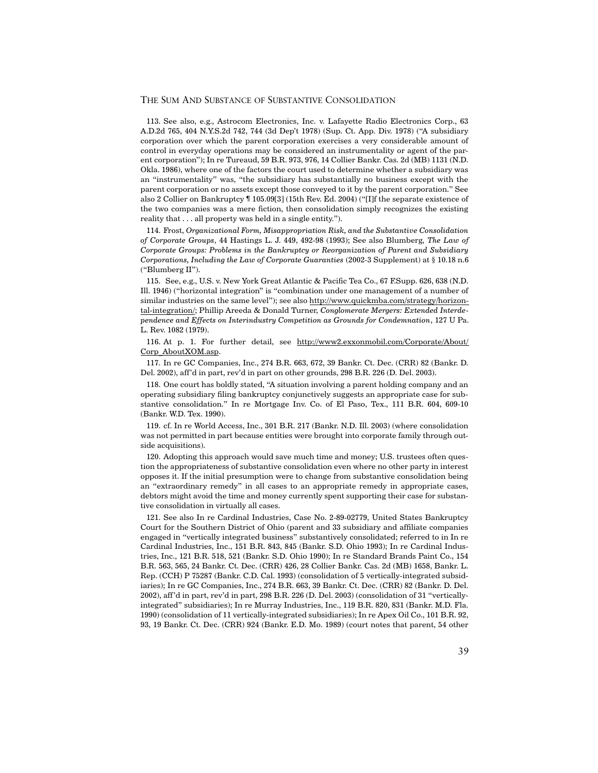113. See also, e.g., Astrocom Electronics, Inc. v. Lafayette Radio Electronics Corp., 63 A.D.2d 765, 404 N.Y.S.2d 742, 744 (3d Dep't 1978) (Sup. Ct. App. Div. 1978) ("A subsidiary corporation over which the parent corporation exercises a very considerable amount of control in everyday operations may be considered an instrumentality or agent of the parent corporation"); In re Tureaud, 59 B.R. 973, 976, 14 Collier Bankr. Cas. 2d (MB) 1131 (N.D. Okla. 1986), where one of the factors the court used to determine whether a subsidiary was an "instrumentality" was, "the subsidiary has substantially no business except with the parent corporation or no assets except those conveyed to it by the parent corporation." See also 2 Collier on Bankruptcy ¶ 105.09[3] (15th Rev. Ed. 2004) ("[I]f the separate existence of the two companies was a mere fiction, then consolidation simply recognizes the existing reality that . . . all property was held in a single entity.").

114. Frost, *Organizational Form, Misappropriation Risk, and the Substantive Consolidation of Corporate Groups*, 44 Hastings L. J. 449, 492-98 (1993); See also Blumberg, *The Law of Corporate Groups: Problems in the Bankruptcy or Reorganization of Parent and Subsidiary Corporations, Including the Law of Corporate Guaranties* (2002-3 Supplement) at § 10.18 n.6 ("Blumberg II").

115. See, e.g., U.S. v. New York Great Atlantic & Pacific Tea Co., 67 F.Supp. 626, 638 (N.D. Ill. 1946) ("horizontal integration" is "combination under one management of a number of similar industries on the same level"); see also http://www.quickmba.com/strategy/horizontal-integration/; Phillip Areeda & Donald Turner, *Conglomerate Mergers: Extended Interdependence and Effects on Interindustry Competition as Grounds for Condemnation*, 127 U Pa. L. Rev. 1082 (1979).

116. At p. 1. For further detail, see http://www2.exxonmobil.com/Corporate/About/ Corp\_AboutXOM.asp.

117. In re GC Companies, Inc., 274 B.R. 663, 672, 39 Bankr. Ct. Dec. (CRR) 82 (Bankr. D. Del. 2002), aff'd in part, rev'd in part on other grounds, 298 B.R. 226 (D. Del. 2003).

118. One court has boldly stated, "A situation involving a parent holding company and an operating subsidiary filing bankruptcy conjunctively suggests an appropriate case for substantive consolidation." In re Mortgage Inv. Co. of El Paso, Tex., 111 B.R. 604, 609-10 (Bankr. W.D. Tex. 1990).

119. cf. In re World Access, Inc., 301 B.R. 217 (Bankr. N.D. Ill. 2003) (where consolidation was not permitted in part because entities were brought into corporate family through outside acquisitions).

120. Adopting this approach would save much time and money; U.S. trustees often question the appropriateness of substantive consolidation even where no other party in interest opposes it. If the initial presumption were to change from substantive consolidation being an "extraordinary remedy" in all cases to an appropriate remedy in appropriate cases, debtors might avoid the time and money currently spent supporting their case for substantive consolidation in virtually all cases.

121. See also In re Cardinal Industries, Case No. 2-89-02779, United States Bankruptcy Court for the Southern District of Ohio (parent and 33 subsidiary and affiliate companies engaged in "vertically integrated business" substantively consolidated; referred to in In re Cardinal Industries, Inc., 151 B.R. 843, 845 (Bankr. S.D. Ohio 1993); In re Cardinal Industries, Inc., 121 B.R. 518, 521 (Bankr. S.D. Ohio 1990); In re Standard Brands Paint Co., 154 B.R. 563, 565, 24 Bankr. Ct. Dec. (CRR) 426, 28 Collier Bankr. Cas. 2d (MB) 1658, Bankr. L. Rep. (CCH) P 75287 (Bankr. C.D. Cal. 1993) (consolidation of 5 vertically-integrated subsidiaries); In re GC Companies, Inc., 274 B.R. 663, 39 Bankr. Ct. Dec. (CRR) 82 (Bankr. D. Del. 2002), aff'd in part, rev'd in part, 298 B.R. 226 (D. Del. 2003) (consolidation of 31 "verticallyintegrated" subsidiaries); In re Murray Industries, Inc., 119 B.R. 820, 831 (Bankr. M.D. Fla. 1990) (consolidation of 11 vertically-integrated subsidiaries); In re Apex Oil Co., 101 B.R. 92, 93, 19 Bankr. Ct. Dec. (CRR) 924 (Bankr. E.D. Mo. 1989) (court notes that parent, 54 other